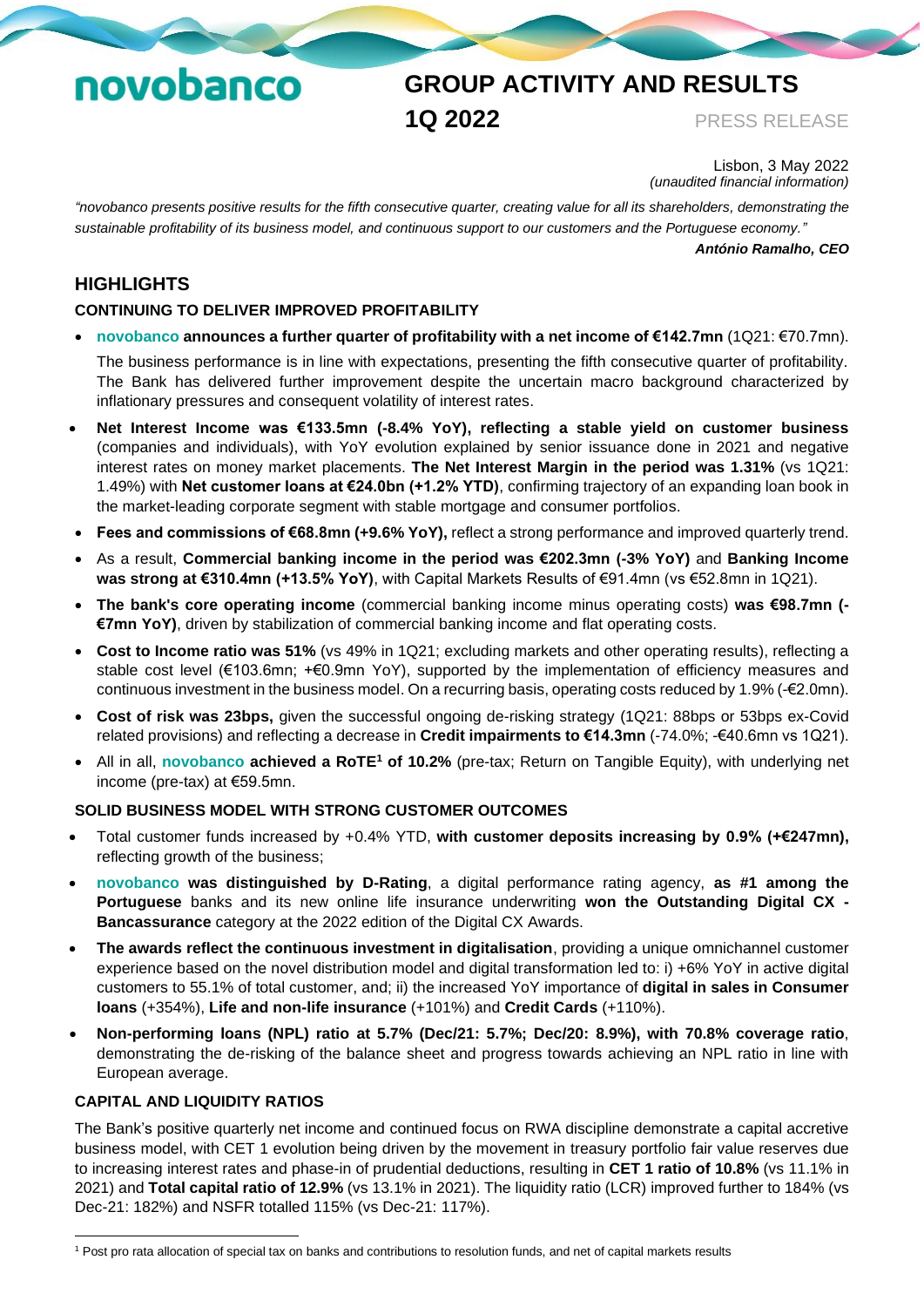# novobanco

## **GROUP ACTIVITY AND RESULTS 1Q 2022** PRESS RELEASE

Lisbon, 3 May 2022 *(unaudited financial information)*

*"novobanco presents positive results for the fifth consecutive quarter, creating value for all its shareholders, demonstrating the sustainable profitability of its business model, and continuous support to our customers and the Portuguese economy."*

*António Ramalho, CEO*

## **HIGHLIGHTS**

## **CONTINUING TO DELIVER IMPROVED PROFITABILITY**

• **novobanco announces a further quarter of profitability with a net income of €142.7mn** (1Q21: €70.7mn).

The business performance is in line with expectations, presenting the fifth consecutive quarter of profitability. The Bank has delivered further improvement despite the uncertain macro background characterized by inflationary pressures and consequent volatility of interest rates.

- **Net Interest Income was €133.5mn (-8.4% YoY), reflecting a stable yield on customer business** (companies and individuals), with YoY evolution explained by senior issuance done in 2021 and negative interest rates on money market placements. **The Net Interest Margin in the period was 1.31%** (vs 1Q21: 1.49%) with **Net customer loans at €24.0bn (+1.2% YTD)**, confirming trajectory of an expanding loan book in the market-leading corporate segment with stable mortgage and consumer portfolios.
- **Fees and commissions of €68.8mn (+9.6% YoY),** reflect a strong performance and improved quarterly trend.
- As a result, **Commercial banking income in the period was €202.3mn (-3% YoY)** and **Banking Income was strong at €310.4mn (+13.5% YoY)**, with Capital Markets Results of €91.4mn (vs €52.8mn in 1Q21).
- **The bank's core operating income** (commercial banking income minus operating costs) **was €98.7mn (- €7mn YoY)**, driven by stabilization of commercial banking income and flat operating costs.
- **Cost to Income ratio was 51%** (vs 49% in 1Q21; excluding markets and other operating results), reflecting a stable cost level (€103.6mn; +€0.9mn YoY), supported by the implementation of efficiency measures and continuous investment in the business model. On a recurring basis, operating costs reduced by 1.9% (-€2.0mn).
- **Cost of risk was 23bps,** given the successful ongoing de-risking strategy (1Q21: 88bps or 53bps ex-Covid related provisions) and reflecting a decrease in **Credit impairments to €14.3mn** (-74.0%; -€40.6mn vs 1Q21).
- All in all, **novobanco achieved a RoTE<sup>1</sup> of 10.2%** (pre-tax; Return on Tangible Equity), with underlying net income (pre-tax) at €59.5mn.

#### **SOLID BUSINESS MODEL WITH STRONG CUSTOMER OUTCOMES**

- Total customer funds increased by +0.4% YTD, **with customer deposits increasing by 0.9% (+€247mn),**  reflecting growth of the business;
- **novobanco was distinguished by D-Rating**, a digital performance rating agency, **as #1 among the Portuguese** banks and its new online life insurance underwriting **won the Outstanding Digital CX - Bancassurance** category at the 2022 edition of the Digital CX Awards.
- **The awards reflect the continuous investment in digitalisation**, providing a unique omnichannel customer experience based on the novel distribution model and digital transformation led to: i) +6% YoY in active digital customers to 55.1% of total customer, and; ii) the increased YoY importance of **digital in sales in Consumer loans** (+354%), **Life and non-life insurance** (+101%) and **Credit Cards** (+110%).
- **Non-performing loans (NPL) ratio at 5.7% (Dec/21: 5.7%; Dec/20: 8.9%), with 70.8% coverage ratio**, demonstrating the de-risking of the balance sheet and progress towards achieving an NPL ratio in line with European average.

#### **CAPITAL AND LIQUIDITY RATIOS**

The Bank's positive quarterly net income and continued focus on RWA discipline demonstrate a capital accretive business model, with CET 1 evolution being driven by the movement in treasury portfolio fair value reserves due to increasing interest rates and phase-in of prudential deductions, resulting in **CET 1 ratio of 10.8%** (vs 11.1% in 2021) and **Total capital ratio of 12.9%** (vs 13.1% in 2021). The liquidity ratio (LCR) improved further to 184% (vs Dec-21: 182%) and NSFR totalled 115% (vs Dec-21: 117%).

<sup>&</sup>lt;sup>1</sup> Post pro rata allocation of special tax on banks and contributions to resolution funds, and net of capital markets results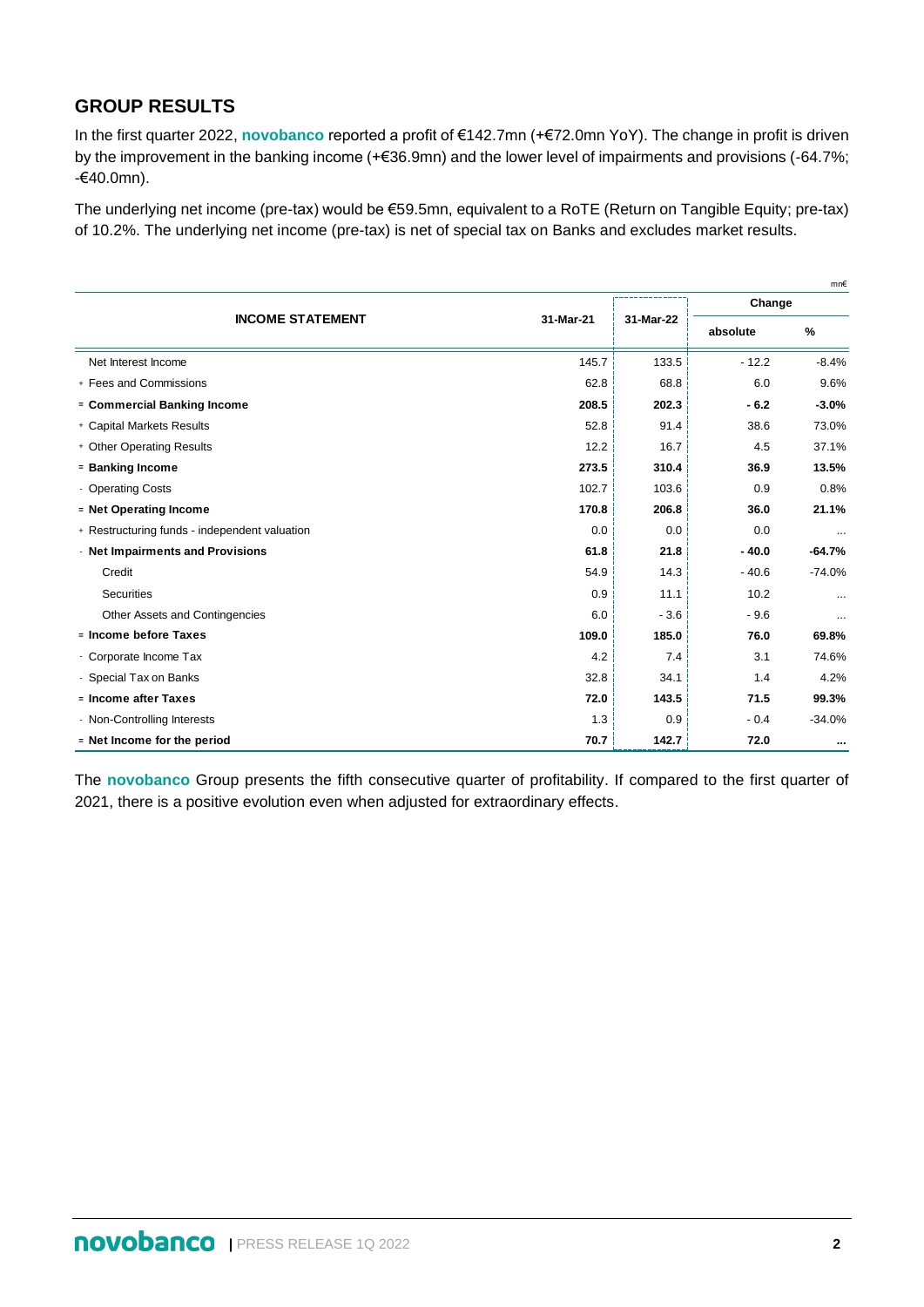## **GROUP RESULTS**

In the first quarter 2022, **novobanco** reported a profit of €142.7mn (+€72.0mn YoY). The change in profit is driven by the improvement in the banking income (+€36.9mn) and the lower level of impairments and provisions (-64.7%; -€40.0mn).

The underlying net income (pre-tax) would be €59.5mn, equivalent to a RoTE (Return on Tangible Equity; pre-tax) of 10.2%. The underlying net income (pre-tax) is net of special tax on Banks and excludes market results.

|                                               |           |           |          | mn€      |  |
|-----------------------------------------------|-----------|-----------|----------|----------|--|
|                                               |           |           | Change   |          |  |
| <b>INCOME STATEMENT</b>                       | 31-Mar-21 | 31-Mar-22 | absolute | $\%$     |  |
| Net Interest Income                           | 145.7     | 133.5     | $-12.2$  | $-8.4%$  |  |
| + Fees and Commissions                        | 62.8      | 68.8      | 6.0      | 9.6%     |  |
| = Commercial Banking Income                   | 208.5     | 202.3     | $-6.2$   | $-3.0%$  |  |
| + Capital Markets Results                     | 52.8      | 91.4      | 38.6     | 73.0%    |  |
| + Other Operating Results                     | 12.2      | 16.7      | 4.5      | 37.1%    |  |
| = Banking Income                              | 273.5     | 310.4     | 36.9     | 13.5%    |  |
| <b>Operating Costs</b>                        | 102.7     | 103.6     | 0.9      | 0.8%     |  |
| = Net Operating Income                        | 170.8     | 206.8     | 36.0     | 21.1%    |  |
| + Restructuring funds - independent valuation | 0.0       | 0.0       | 0.0      | $\cdots$ |  |
| - Net Impairments and Provisions              | 61.8      | 21.8      | $-40.0$  | $-64.7%$ |  |
| Credit                                        | 54.9      | 14.3      | $-40.6$  | $-74.0%$ |  |
| Securities                                    | 0.9       | 11.1      | 10.2     | $\cdots$ |  |
| Other Assets and Contingencies                | 6.0       | $-3.6$    | $-9.6$   | $\cdots$ |  |
| = Income before Taxes                         | 109.0     | 185.0     | 76.0     | 69.8%    |  |
| - Corporate Income Tax                        | 4.2       | 7.4       | 3.1      | 74.6%    |  |
| - Special Tax on Banks                        | 32.8      | 34.1      | 1.4      | 4.2%     |  |
| = Income after Taxes                          | 72.0      | 143.5     | 71.5     | 99.3%    |  |
| - Non-Controlling Interests                   | 1.3       | 0.9       | $-0.4$   | $-34.0%$ |  |
| = Net Income for the period                   | 70.7      | 142.7     | 72.0     |          |  |

The **novobanco** Group presents the fifth consecutive quarter of profitability. If compared to the first quarter of 2021, there is a positive evolution even when adjusted for extraordinary effects.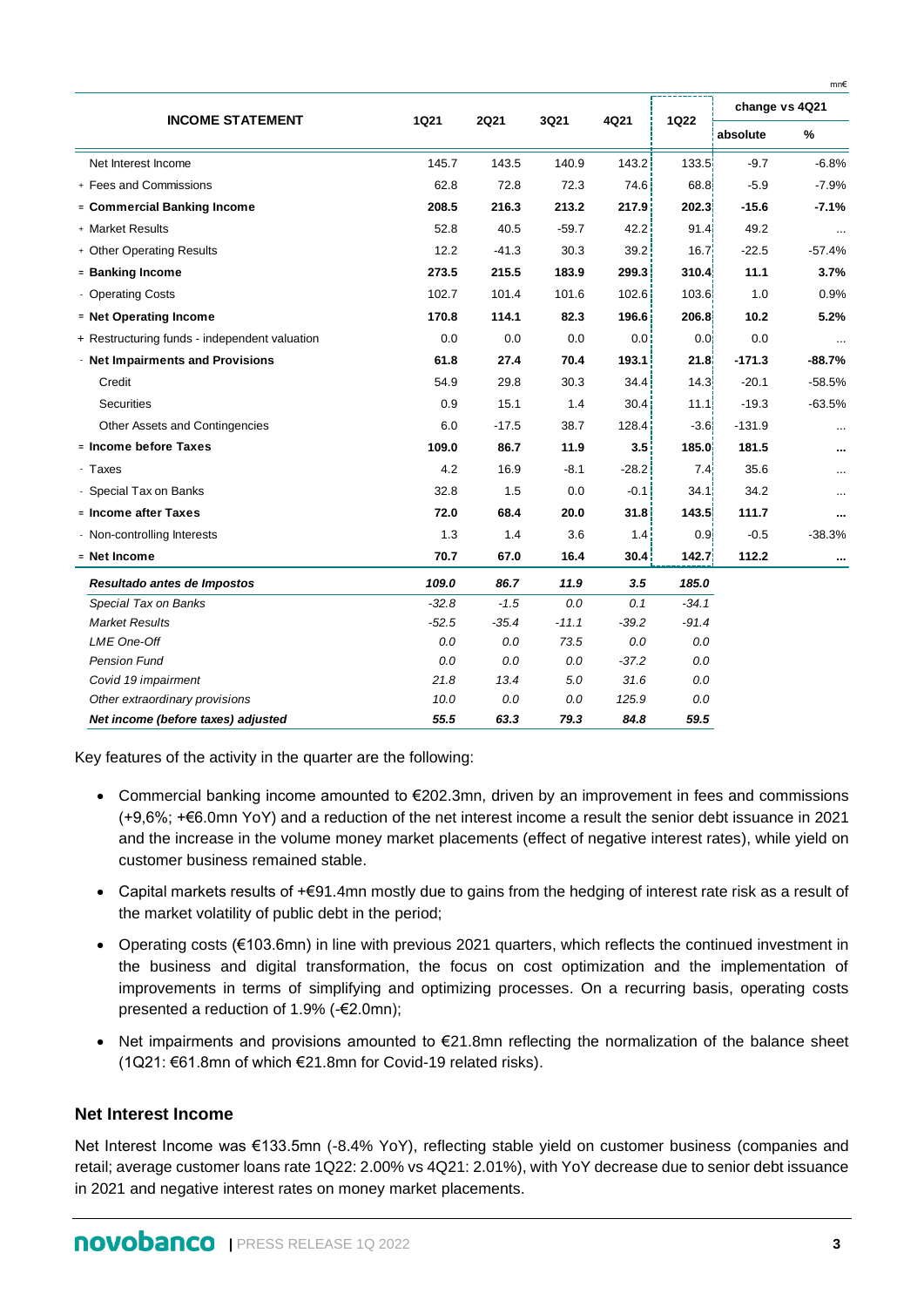|                                               |             |             |         |         |                  | change vs 4Q21 |          |  |
|-----------------------------------------------|-------------|-------------|---------|---------|------------------|----------------|----------|--|
| <b>INCOME STATEMENT</b>                       | <b>1Q21</b> | <b>2Q21</b> | 3Q21    | 4Q21    | <b>1Q22</b>      | absolute       | $\%$     |  |
| Net Interest Income                           | 145.7       | 143.5       | 140.9   | 143.2   | 133.5            | $-9.7$         | $-6.8%$  |  |
| + Fees and Commissions                        | 62.8        | 72.8        | 72.3    | 74.6    | 68.8             | $-5.9$         | $-7.9%$  |  |
| = Commercial Banking Income                   | 208.5       | 216.3       | 213.2   | 217.9   | 202.31           | $-15.6$        | $-7.1%$  |  |
| + Market Results                              | 52.8        | 40.5        | $-59.7$ | 42.2    | 91.4             | 49.2           |          |  |
| + Other Operating Results                     | 12.2        | $-41.3$     | 30.3    | 39.2    | 16.7             | $-22.5$        | $-57.4%$ |  |
| = Banking Income                              | 273.5       | 215.5       | 183.9   | 299.3   | 310.4            | 11.1           | 3.7%     |  |
| - Operating Costs                             | 102.7       | 101.4       | 101.6   | 102.6   | 103.6            | 1.0            | 0.9%     |  |
| = Net Operating Income                        | 170.8       | 114.1       | 82.3    | 196.6   | 206.8            | 10.2           | 5.2%     |  |
| + Restructuring funds - independent valuation | 0.0         | 0.0         | 0.0     | 0.0     | 0.0 <sub>i</sub> | 0.0            |          |  |
| - Net Impairments and Provisions              | 61.8        | 27.4        | 70.4    | 193.1   | 21.8             | $-171.3$       | $-88.7%$ |  |
| Credit                                        | 54.9        | 29.8        | 30.3    | 34.4    | 14.3             | $-20.1$        | $-58.5%$ |  |
| <b>Securities</b>                             | 0.9         | 15.1        | 1.4     | 30.4    | 11.1             | $-19.3$        | $-63.5%$ |  |
| Other Assets and Contingencies                | 6.0         | $-17.5$     | 38.7    | 128.4   | $-3.61$          | $-131.9$       |          |  |
| = Income before Taxes                         | 109.0       | 86.7        | 11.9    | 3.5     | 185.0            | 181.5          |          |  |
| - Taxes                                       | 4.2         | 16.9        | $-8.1$  | $-28.2$ | 7.4 <sub>1</sub> | 35.6           |          |  |
| - Special Tax on Banks                        | 32.8        | 1.5         | 0.0     | $-0.1$  | 34.1             | 34.2           |          |  |
| = Income after Taxes                          | 72.0        | 68.4        | 20.0    | 31.8    | 143.5            | 111.7          |          |  |
| - Non-controlling Interests                   | 1.3         | 1.4         | 3.6     | 1.4     | 0.9 <sub>1</sub> | $-0.5$         | $-38.3%$ |  |
| = Net Income                                  | 70.7        | 67.0        | 16.4    | 30.4    | 142.7            | 112.2          | $\cdots$ |  |
| Resultado antes de Impostos                   | 109.0       | 86.7        | 11.9    | 3.5     | 185.0            |                |          |  |
| Special Tax on Banks                          | $-32.8$     | $-1.5$      | 0.0     | 0.1     | $-34.1$          |                |          |  |
| <b>Market Results</b>                         | $-52.5$     | $-35.4$     | $-11.1$ | $-39.2$ | $-91.4$          |                |          |  |
| LME One-Off                                   | 0.0         | 0.0         | 73.5    | 0.0     | 0.0              |                |          |  |
| <b>Pension Fund</b>                           | 0.0         | 0.0         | 0.0     | $-37.2$ | 0.0              |                |          |  |
| Covid 19 impairment                           | 21.8        | 13.4        | 5.0     | 31.6    | 0.0              |                |          |  |
| Other extraordinary provisions                | 10.0        | 0.0         | 0.0     | 125.9   | $0.0\,$          |                |          |  |
| Net income (before taxes) adjusted            | 55.5        | 63.3        | 79.3    | 84.8    | 59.5             |                |          |  |

Key features of the activity in the quarter are the following:

- Commercial banking income amounted to €202.3mn, driven by an improvement in fees and commissions (+9,6%; +€6.0mn YoY) and a reduction of the net interest income a result the senior debt issuance in 2021 and the increase in the volume money market placements (effect of negative interest rates), while yield on customer business remained stable.
- Capital markets results of +€91.4mn mostly due to gains from the hedging of interest rate risk as a result of the market volatility of public debt in the period;
- Operating costs (€103.6mn) in line with previous 2021 quarters, which reflects the continued investment in the business and digital transformation, the focus on cost optimization and the implementation of improvements in terms of simplifying and optimizing processes. On a recurring basis, operating costs presented a reduction of 1.9% (-€2.0mn);
- Net impairments and provisions amounted to €21.8mn reflecting the normalization of the balance sheet (1Q21: €61.8mn of which €21.8mn for Covid-19 related risks).

#### **Net Interest Income**

Net Interest Income was €133.5mn (-8.4% YoY), reflecting stable yield on customer business (companies and retail; average customer loans rate 1Q22: 2.00% vs 4Q21: 2.01%), with YoY decrease due to senior debt issuance in 2021 and negative interest rates on money market placements.

mn€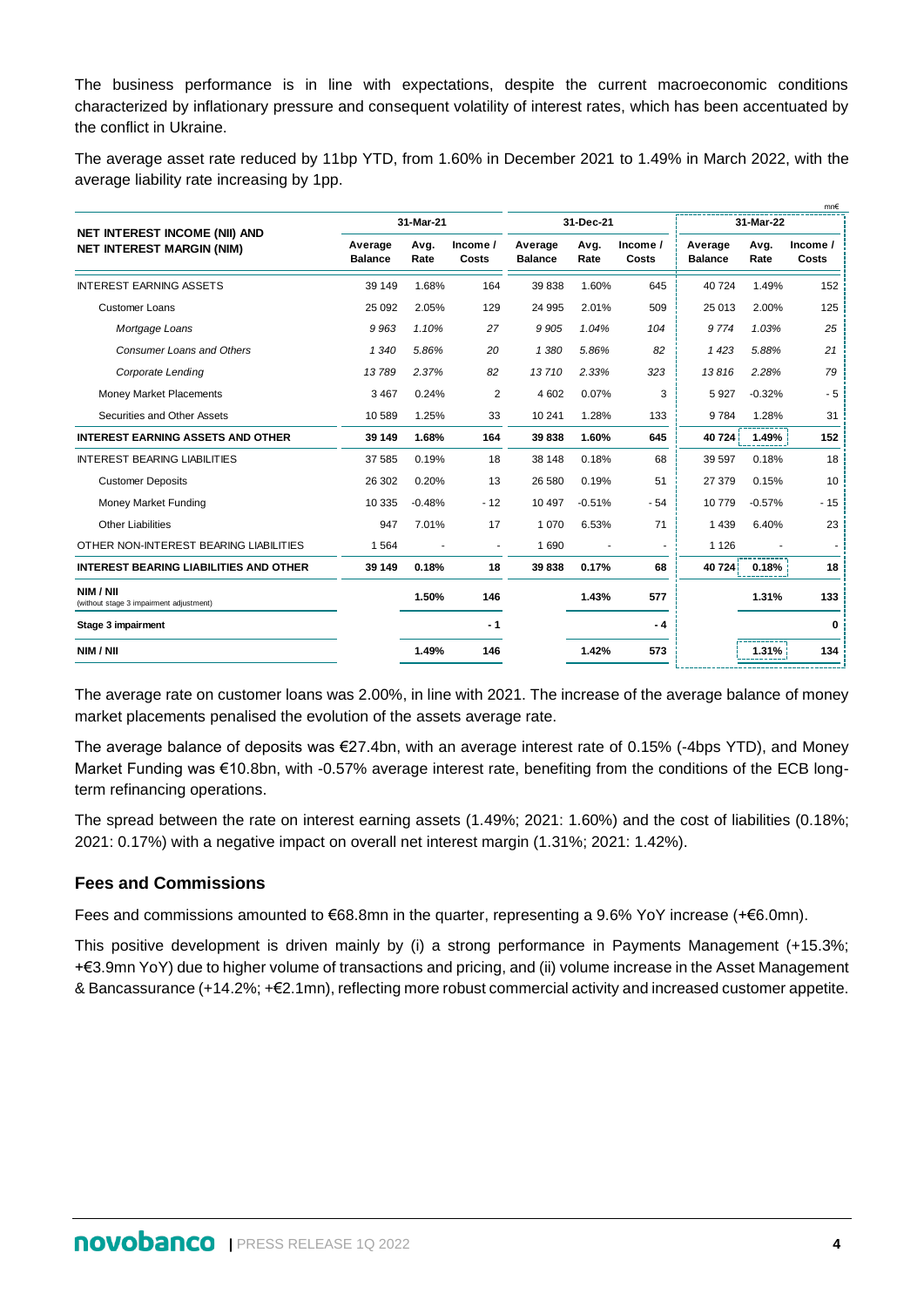The business performance is in line with expectations, despite the current macroeconomic conditions characterized by inflationary pressure and consequent volatility of interest rates, which has been accentuated by the conflict in Ukraine.

The average asset rate reduced by 11bp YTD, from 1.60% in December 2021 to 1.49% in March 2022, with the average liability rate increasing by 1pp.

| 31-Mar-21<br>31-Dec-21<br>31-Mar-22<br><b>NET INTEREST INCOME (NII) AND</b><br>Income /<br>Income /<br>Avg.<br>Average<br>Avg.<br>Average<br>Avg.<br>Average<br><b>NET INTEREST MARGIN (NIM)</b><br>Costs<br>Costs<br><b>Balance</b><br><b>Balance</b><br>Rate<br><b>Balance</b><br>Rate<br>Rate<br><b>INTEREST EARNING ASSETS</b><br>1.68%<br>1.60%<br>39 149<br>164<br>39 838<br>645<br>40724<br>1.49%<br>2.05%<br>2.01%<br>509<br>2.00%<br><b>Customer Loans</b><br>25 092<br>129<br>24 995<br>25 013<br>9963<br>1.10%<br>27<br>9 9 0 5<br>1.04%<br>9774<br>1.03%<br>Mortgage Loans<br>104<br>5.86%<br><b>Consumer Loans and Others</b><br>1 3 4 0<br>5.86%<br>20<br>1 3 8 0<br>82<br>1423<br>5.88%<br>13789<br>2.37%<br>82<br>13710<br>2.33%<br>323<br>13816<br>2.28%<br>Corporate Lending<br>$\overline{2}$<br>3 4 6 7<br>0.24%<br>4 6 0 2<br>0.07%<br>3<br>5927<br>$-0.32%$<br><b>Money Market Placements</b><br>1.25%<br>1.28%<br>Securities and Other Assets<br>10589<br>33<br>10 241<br>133<br>9784<br>1.28%<br>1.60%<br><b>INTEREST EARNING ASSETS AND OTHER</b><br>39 149<br>1.68%<br>164<br>39 838<br>645<br>40724<br>1.49%<br>0.19%<br>0.18%<br>0.18%<br><b>INTEREST BEARING LIABILITIES</b><br>37 585<br>18<br>38 148<br>68<br>39 597<br>0.20%<br>51<br>0.15%<br>26 30 2<br>13<br>26 580<br>0.19%<br>27 379<br><b>Customer Deposits</b><br>10 335<br>$-0.48%$<br>10 497<br>$-0.51%$<br>10779<br>$-0.57%$<br>Money Market Funding<br>$-12$<br>$-54$<br>7.01%<br><b>Other Liabilities</b><br>947<br>17<br>1 0 7 0<br>6.53%<br>71<br>1 4 3 9<br>6.40%<br>OTHER NON-INTEREST BEARING LIABILITIES<br>1690<br>1 1 2 6<br>1 5 6 4<br>$\blacksquare$<br>$\overline{\phantom{a}}$<br><b>INTEREST BEARING LIABILITIES AND OTHER</b><br>39 149<br>39838<br>0.18%<br>18<br>0.17%<br>68<br>40 724<br>0.18%<br>NIM / NII<br>1.50%<br>1.43%<br>577<br>146<br>1.31%<br>(without stage 3 impairment adjustment)<br>Stage 3 impairment<br>- 1<br>- 4<br>NIM / NII<br>1.49%<br>1.42%<br>146<br>573<br>1.31% |  |  |  |  |  |  |  | mn€               |
|--------------------------------------------------------------------------------------------------------------------------------------------------------------------------------------------------------------------------------------------------------------------------------------------------------------------------------------------------------------------------------------------------------------------------------------------------------------------------------------------------------------------------------------------------------------------------------------------------------------------------------------------------------------------------------------------------------------------------------------------------------------------------------------------------------------------------------------------------------------------------------------------------------------------------------------------------------------------------------------------------------------------------------------------------------------------------------------------------------------------------------------------------------------------------------------------------------------------------------------------------------------------------------------------------------------------------------------------------------------------------------------------------------------------------------------------------------------------------------------------------------------------------------------------------------------------------------------------------------------------------------------------------------------------------------------------------------------------------------------------------------------------------------------------------------------------------------------------------------------------------------------------------------------------------------------------------------------------------------------------------------|--|--|--|--|--|--|--|-------------------|
|                                                                                                                                                                                                                                                                                                                                                                                                                                                                                                                                                                                                                                                                                                                                                                                                                                                                                                                                                                                                                                                                                                                                                                                                                                                                                                                                                                                                                                                                                                                                                                                                                                                                                                                                                                                                                                                                                                                                                                                                        |  |  |  |  |  |  |  |                   |
|                                                                                                                                                                                                                                                                                                                                                                                                                                                                                                                                                                                                                                                                                                                                                                                                                                                                                                                                                                                                                                                                                                                                                                                                                                                                                                                                                                                                                                                                                                                                                                                                                                                                                                                                                                                                                                                                                                                                                                                                        |  |  |  |  |  |  |  | Income /<br>Costs |
|                                                                                                                                                                                                                                                                                                                                                                                                                                                                                                                                                                                                                                                                                                                                                                                                                                                                                                                                                                                                                                                                                                                                                                                                                                                                                                                                                                                                                                                                                                                                                                                                                                                                                                                                                                                                                                                                                                                                                                                                        |  |  |  |  |  |  |  | 152               |
|                                                                                                                                                                                                                                                                                                                                                                                                                                                                                                                                                                                                                                                                                                                                                                                                                                                                                                                                                                                                                                                                                                                                                                                                                                                                                                                                                                                                                                                                                                                                                                                                                                                                                                                                                                                                                                                                                                                                                                                                        |  |  |  |  |  |  |  | 125               |
|                                                                                                                                                                                                                                                                                                                                                                                                                                                                                                                                                                                                                                                                                                                                                                                                                                                                                                                                                                                                                                                                                                                                                                                                                                                                                                                                                                                                                                                                                                                                                                                                                                                                                                                                                                                                                                                                                                                                                                                                        |  |  |  |  |  |  |  | 25                |
|                                                                                                                                                                                                                                                                                                                                                                                                                                                                                                                                                                                                                                                                                                                                                                                                                                                                                                                                                                                                                                                                                                                                                                                                                                                                                                                                                                                                                                                                                                                                                                                                                                                                                                                                                                                                                                                                                                                                                                                                        |  |  |  |  |  |  |  | 21                |
|                                                                                                                                                                                                                                                                                                                                                                                                                                                                                                                                                                                                                                                                                                                                                                                                                                                                                                                                                                                                                                                                                                                                                                                                                                                                                                                                                                                                                                                                                                                                                                                                                                                                                                                                                                                                                                                                                                                                                                                                        |  |  |  |  |  |  |  | 79                |
|                                                                                                                                                                                                                                                                                                                                                                                                                                                                                                                                                                                                                                                                                                                                                                                                                                                                                                                                                                                                                                                                                                                                                                                                                                                                                                                                                                                                                                                                                                                                                                                                                                                                                                                                                                                                                                                                                                                                                                                                        |  |  |  |  |  |  |  | $-5$              |
|                                                                                                                                                                                                                                                                                                                                                                                                                                                                                                                                                                                                                                                                                                                                                                                                                                                                                                                                                                                                                                                                                                                                                                                                                                                                                                                                                                                                                                                                                                                                                                                                                                                                                                                                                                                                                                                                                                                                                                                                        |  |  |  |  |  |  |  | 31                |
|                                                                                                                                                                                                                                                                                                                                                                                                                                                                                                                                                                                                                                                                                                                                                                                                                                                                                                                                                                                                                                                                                                                                                                                                                                                                                                                                                                                                                                                                                                                                                                                                                                                                                                                                                                                                                                                                                                                                                                                                        |  |  |  |  |  |  |  | 152               |
|                                                                                                                                                                                                                                                                                                                                                                                                                                                                                                                                                                                                                                                                                                                                                                                                                                                                                                                                                                                                                                                                                                                                                                                                                                                                                                                                                                                                                                                                                                                                                                                                                                                                                                                                                                                                                                                                                                                                                                                                        |  |  |  |  |  |  |  | 18                |
|                                                                                                                                                                                                                                                                                                                                                                                                                                                                                                                                                                                                                                                                                                                                                                                                                                                                                                                                                                                                                                                                                                                                                                                                                                                                                                                                                                                                                                                                                                                                                                                                                                                                                                                                                                                                                                                                                                                                                                                                        |  |  |  |  |  |  |  | 10                |
|                                                                                                                                                                                                                                                                                                                                                                                                                                                                                                                                                                                                                                                                                                                                                                                                                                                                                                                                                                                                                                                                                                                                                                                                                                                                                                                                                                                                                                                                                                                                                                                                                                                                                                                                                                                                                                                                                                                                                                                                        |  |  |  |  |  |  |  | $-15$             |
|                                                                                                                                                                                                                                                                                                                                                                                                                                                                                                                                                                                                                                                                                                                                                                                                                                                                                                                                                                                                                                                                                                                                                                                                                                                                                                                                                                                                                                                                                                                                                                                                                                                                                                                                                                                                                                                                                                                                                                                                        |  |  |  |  |  |  |  | 23                |
|                                                                                                                                                                                                                                                                                                                                                                                                                                                                                                                                                                                                                                                                                                                                                                                                                                                                                                                                                                                                                                                                                                                                                                                                                                                                                                                                                                                                                                                                                                                                                                                                                                                                                                                                                                                                                                                                                                                                                                                                        |  |  |  |  |  |  |  |                   |
|                                                                                                                                                                                                                                                                                                                                                                                                                                                                                                                                                                                                                                                                                                                                                                                                                                                                                                                                                                                                                                                                                                                                                                                                                                                                                                                                                                                                                                                                                                                                                                                                                                                                                                                                                                                                                                                                                                                                                                                                        |  |  |  |  |  |  |  | 18                |
|                                                                                                                                                                                                                                                                                                                                                                                                                                                                                                                                                                                                                                                                                                                                                                                                                                                                                                                                                                                                                                                                                                                                                                                                                                                                                                                                                                                                                                                                                                                                                                                                                                                                                                                                                                                                                                                                                                                                                                                                        |  |  |  |  |  |  |  | 133               |
|                                                                                                                                                                                                                                                                                                                                                                                                                                                                                                                                                                                                                                                                                                                                                                                                                                                                                                                                                                                                                                                                                                                                                                                                                                                                                                                                                                                                                                                                                                                                                                                                                                                                                                                                                                                                                                                                                                                                                                                                        |  |  |  |  |  |  |  | 0                 |
|                                                                                                                                                                                                                                                                                                                                                                                                                                                                                                                                                                                                                                                                                                                                                                                                                                                                                                                                                                                                                                                                                                                                                                                                                                                                                                                                                                                                                                                                                                                                                                                                                                                                                                                                                                                                                                                                                                                                                                                                        |  |  |  |  |  |  |  | 134               |

The average rate on customer loans was 2.00%, in line with 2021. The increase of the average balance of money market placements penalised the evolution of the assets average rate.

The average balance of deposits was €27.4bn, with an average interest rate of 0.15% (-4bps YTD), and Money Market Funding was €10.8bn, with -0.57% average interest rate, benefiting from the conditions of the ECB longterm refinancing operations.

The spread between the rate on interest earning assets (1.49%; 2021: 1.60%) and the cost of liabilities (0.18%; 2021: 0.17%) with a negative impact on overall net interest margin (1.31%; 2021: 1.42%).

## **Fees and Commissions**

Fees and commissions amounted to €68.8mn in the quarter, representing a 9.6% YoY increase (+€6.0mn).

This positive development is driven mainly by (i) a strong performance in Payments Management (+15.3%; +€3.9mn YoY) due to higher volume of transactions and pricing, and (ii) volume increase in the Asset Management & Bancassurance (+14.2%; +€2.1mn), reflecting more robust commercial activity and increased customer appetite.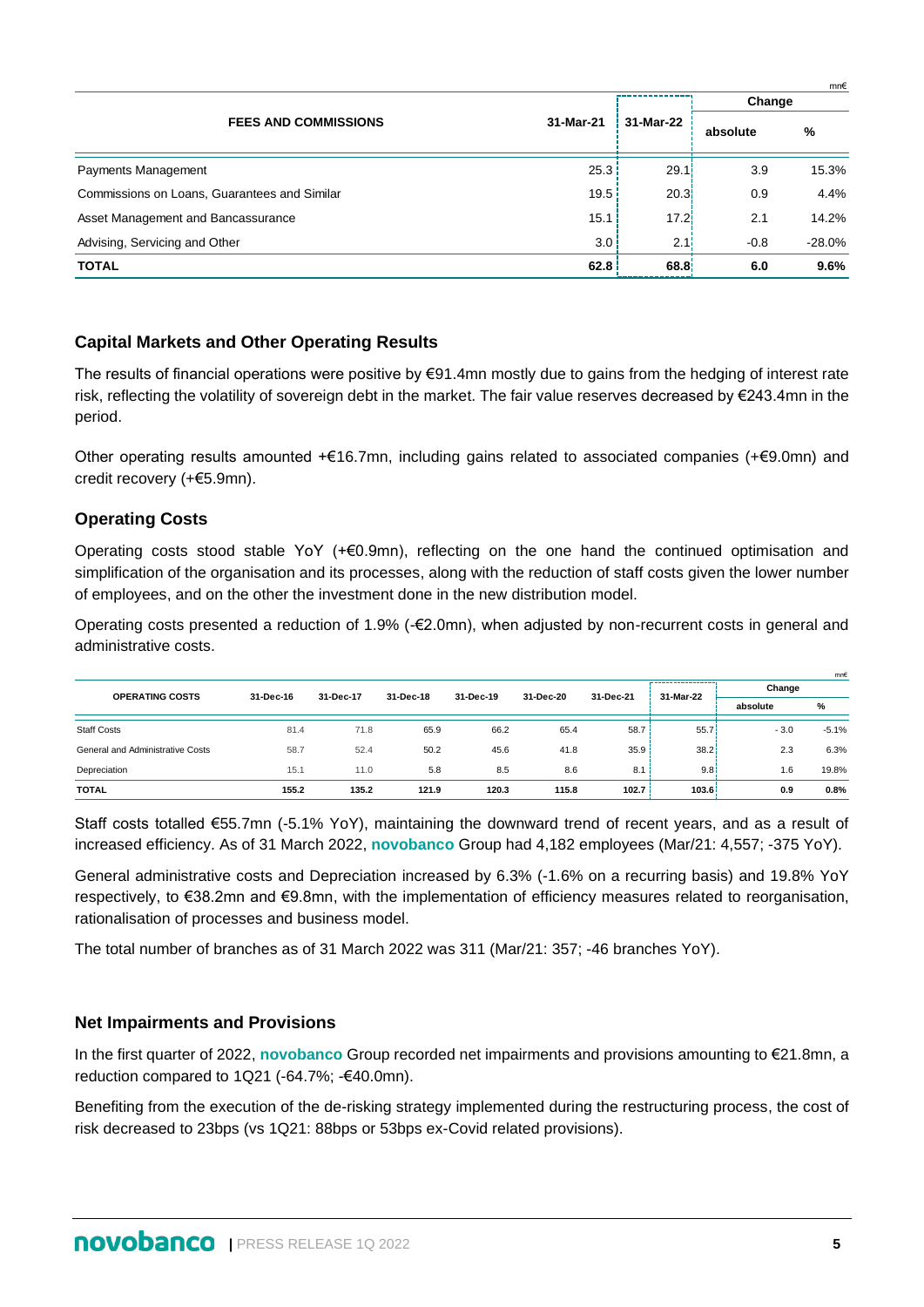|                                              |           |                   |          | mn€       |
|----------------------------------------------|-----------|-------------------|----------|-----------|
|                                              |           |                   | Change   |           |
| <b>FEES AND COMMISSIONS</b>                  | 31-Mar-21 | 31-Mar-22         | absolute | %         |
| Payments Management                          | 25.3      | 29.1              | 3.9      | 15.3%     |
| Commissions on Loans, Guarantees and Similar | 19.5      | 20.31             | 0.9      | 4.4%      |
| Asset Management and Bancassurance           | 15.1      | 17.2 <sub>1</sub> | 2.1      | 14.2%     |
| Advising, Servicing and Other                | 3.0       | 2.11              | $-0.8$   | $-28.0\%$ |
| <b>TOTAL</b>                                 | 62.8      | 68.8              | 6.0      | 9.6%      |

## **Capital Markets and Other Operating Results**

The results of financial operations were positive by €91.4mn mostly due to gains from the hedging of interest rate risk, reflecting the volatility of sovereign debt in the market. The fair value reserves decreased by €243.4mn in the period.

Other operating results amounted +€16.7mn, including gains related to associated companies (+€9.0mn) and credit recovery (+€5.9mn).

## **Operating Costs**

Operating costs stood stable YoY (+€0.9mn), reflecting on the one hand the continued optimisation and simplification of the organisation and its processes, along with the reduction of staff costs given the lower number of employees, and on the other the investment done in the new distribution model.

Operating costs presented a reduction of 1.9% (-€2.0mn), when adjusted by non-recurrent costs in general and administrative costs.

| <b>OPERATING COSTS</b>           |           |           |           | 31-Dec-19 | 31-Dec-20 | 31-Dec-21 |       | Change | mn€     |  |           |          |   |
|----------------------------------|-----------|-----------|-----------|-----------|-----------|-----------|-------|--------|---------|--|-----------|----------|---|
|                                  | 31-Dec-16 | 31-Dec-17 | 31-Dec-18 |           |           |           |       |        |         |  | 31-Mar-22 | absolute | % |
| <b>Staff Costs</b>               | 81.4      | 71.8      | 65.9      | 66.2      | 65.4      | 58.7      | 55.7  | $-3.0$ | $-5.1%$ |  |           |          |   |
| General and Administrative Costs | 58.7      | 52.4      | 50.2      | 45.6      | 41.8      | 35.9      | 38.2  | 2.3    | 6.3%    |  |           |          |   |
| Depreciation                     | 15.1      | 11.0      | 5.8       | 8.5       | 8.6       | 8.1       | 9.8   | 1.6    | 19.8%   |  |           |          |   |
| <b>TOTAL</b>                     | 155.2     | 135.2     | 121.9     | 120.3     | 115.8     | 102.7     | 103.6 | 0.9    | 0.8%    |  |           |          |   |

Staff costs totalled €55.7mn (-5.1% YoY), maintaining the downward trend of recent years, and as a result of increased efficiency. As of 31 March 2022, **novobanco** Group had 4,182 employees (Mar/21: 4,557; -375 YoY).

General administrative costs and Depreciation increased by 6.3% (-1.6% on a recurring basis) and 19.8% YoY respectively, to €38.2mn and €9.8mn, with the implementation of efficiency measures related to reorganisation, rationalisation of processes and business model.

The total number of branches as of 31 March 2022 was 311 (Mar/21: 357; -46 branches YoY).

## **Net Impairments and Provisions**

In the first quarter of 2022, **novobanco** Group recorded net impairments and provisions amounting to €21.8mn, a reduction compared to 1Q21 (-64.7%; -€40.0mn).

Benefiting from the execution of the de-risking strategy implemented during the restructuring process, the cost of risk decreased to 23bps (vs 1Q21: 88bps or 53bps ex-Covid related provisions).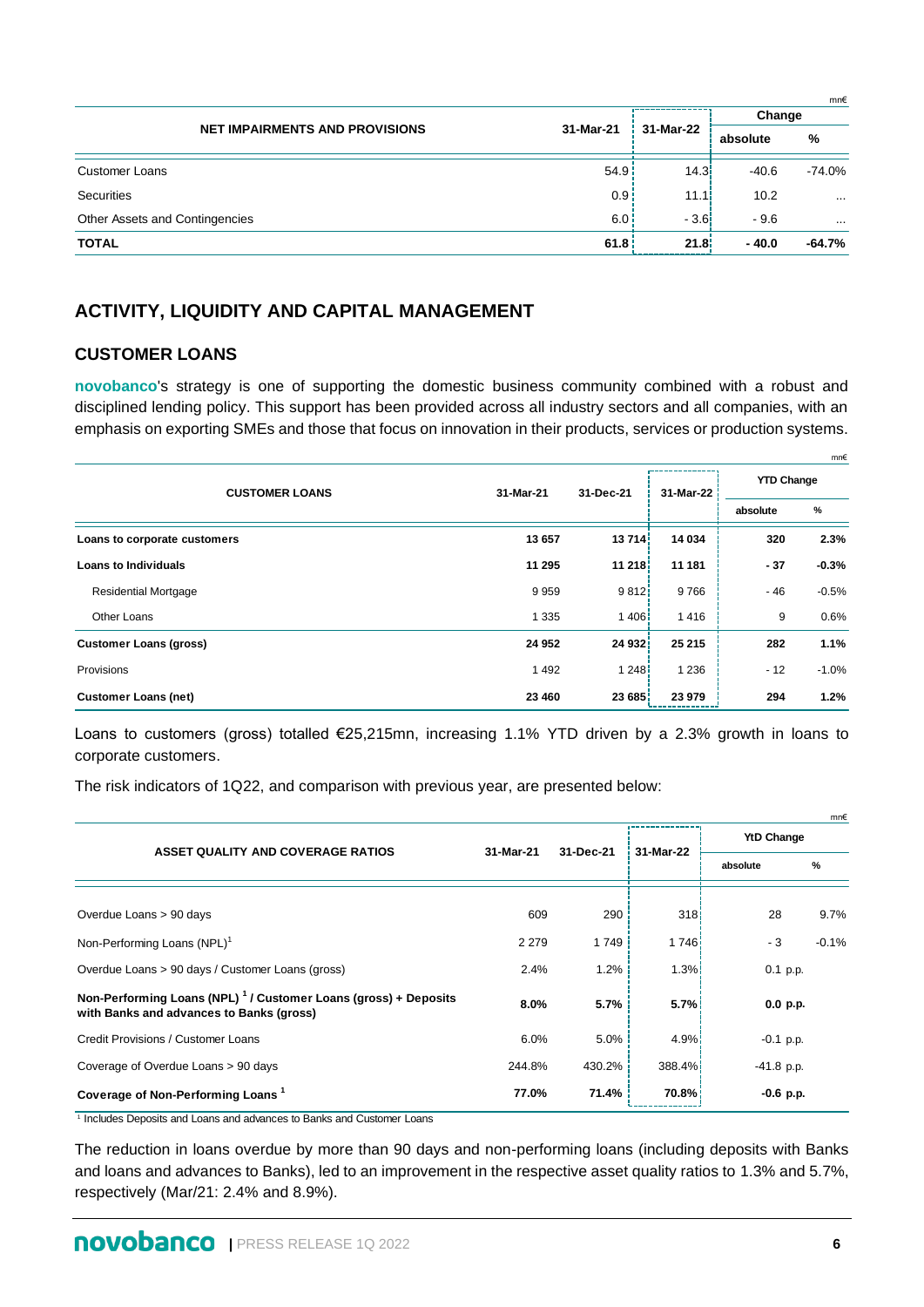|                                       |                  |           |          | mn€      |
|---------------------------------------|------------------|-----------|----------|----------|
|                                       |                  |           | Change   |          |
| <b>NET IMPAIRMENTS AND PROVISIONS</b> | 31-Mar-21        | 31-Mar-22 | absolute | %        |
| <b>Customer Loans</b>                 | 54.9             | 14.3      | $-40.6$  | -74.0%   |
| Securities                            | 0.9 <sub>1</sub> | 11.1!     | 10.2     | $\cdots$ |
| Other Assets and Contingencies        | 6.0              | $-3.6!$   | $-9.6$   | $\cdots$ |
| <b>TOTAL</b>                          | 61.8             | 21.8      | $-40.0$  | -64.7%   |

## **ACTIVITY, LIQUIDITY AND CAPITAL MANAGEMENT**

#### **CUSTOMER LOANS**

**novobanco**'s strategy is one of supporting the domestic business community combined with a robust and disciplined lending policy. This support has been provided across all industry sectors and all companies, with an emphasis on exporting SMEs and those that focus on innovation in their products, services or production systems.

|                               |           |           |           |                   | mn€     |
|-------------------------------|-----------|-----------|-----------|-------------------|---------|
| <b>CUSTOMER LOANS</b>         | 31-Mar-21 | 31-Dec-21 | 31-Mar-22 | <b>YTD Change</b> |         |
|                               |           |           |           | absolute          | %       |
| Loans to corporate customers  | 13 657    | 13714     | 14 034    | 320               | 2.3%    |
| <b>Loans to Individuals</b>   | 11 295    | 11 218    | 11 181    | $-37$             | $-0.3%$ |
| <b>Residential Mortgage</b>   | 9959      | 9812      | 9766      | - 46              | $-0.5%$ |
| Other Loans                   | 1 3 3 5   | 1406      | 1416      | 9                 | 0.6%    |
| <b>Customer Loans (gross)</b> | 24 952    | 24 932    | 25 215    | 282               | 1.1%    |
| Provisions                    | 1 4 9 2   | 1248      | 1 2 3 6   | $-12$             | $-1.0%$ |
| <b>Customer Loans (net)</b>   | 23 460    | 23 685    | 23 979    | 294               | 1.2%    |

Loans to customers (gross) totalled €25,215mn, increasing 1.1% YTD driven by a 2.3% growth in loans to corporate customers.

The risk indicators of 1Q22, and comparison with previous year, are presented below:

|                                                                                                                         |           |           |                    |                   | mn€     |
|-------------------------------------------------------------------------------------------------------------------------|-----------|-----------|--------------------|-------------------|---------|
| ASSET QUALITY AND COVERAGE RATIOS                                                                                       | 31-Mar-21 | 31-Dec-21 | 31-Mar-22          | <b>YtD Change</b> |         |
|                                                                                                                         |           |           |                    | absolute          | %       |
|                                                                                                                         |           |           |                    |                   |         |
| Overdue Loans > 90 days                                                                                                 | 609       | 290       | 318                | 28                | 9.7%    |
| Non-Performing Loans (NPL) <sup>1</sup>                                                                                 | 2 2 7 9   | 1 7 4 9   | 1 746 <sup>1</sup> | - 3               | $-0.1%$ |
| Overdue Loans > 90 days / Customer Loans (gross)                                                                        | 2.4%      | 1.2%      | 1.3%               | $0.1$ p.p.        |         |
| Non-Performing Loans (NPL) <sup>1</sup> / Customer Loans (gross) + Deposits<br>with Banks and advances to Banks (gross) | 8.0%      | 5.7%      | 5.7%               | 0.0 p.p.          |         |
| Credit Provisions / Customer Loans                                                                                      | 6.0%      | 5.0%      | 4.9%               | $-0.1$ p.p.       |         |
| Coverage of Overdue Loans > 90 days                                                                                     | 244.8%    | 430.2%    | 388.4%             | $-41.8$ p.p.      |         |
| Coverage of Non-Performing Loans <sup>1</sup>                                                                           | 77.0%     | 71.4%     | 70.8%              | $-0.6$ p.p.       |         |

<sup>1</sup> Includes Deposits and Loans and advances to Banks and Customer Loans

The reduction in loans overdue by more than 90 days and non-performing loans (including deposits with Banks and loans and advances to Banks), led to an improvement in the respective asset quality ratios to 1.3% and 5.7%, respectively (Mar/21: 2.4% and 8.9%).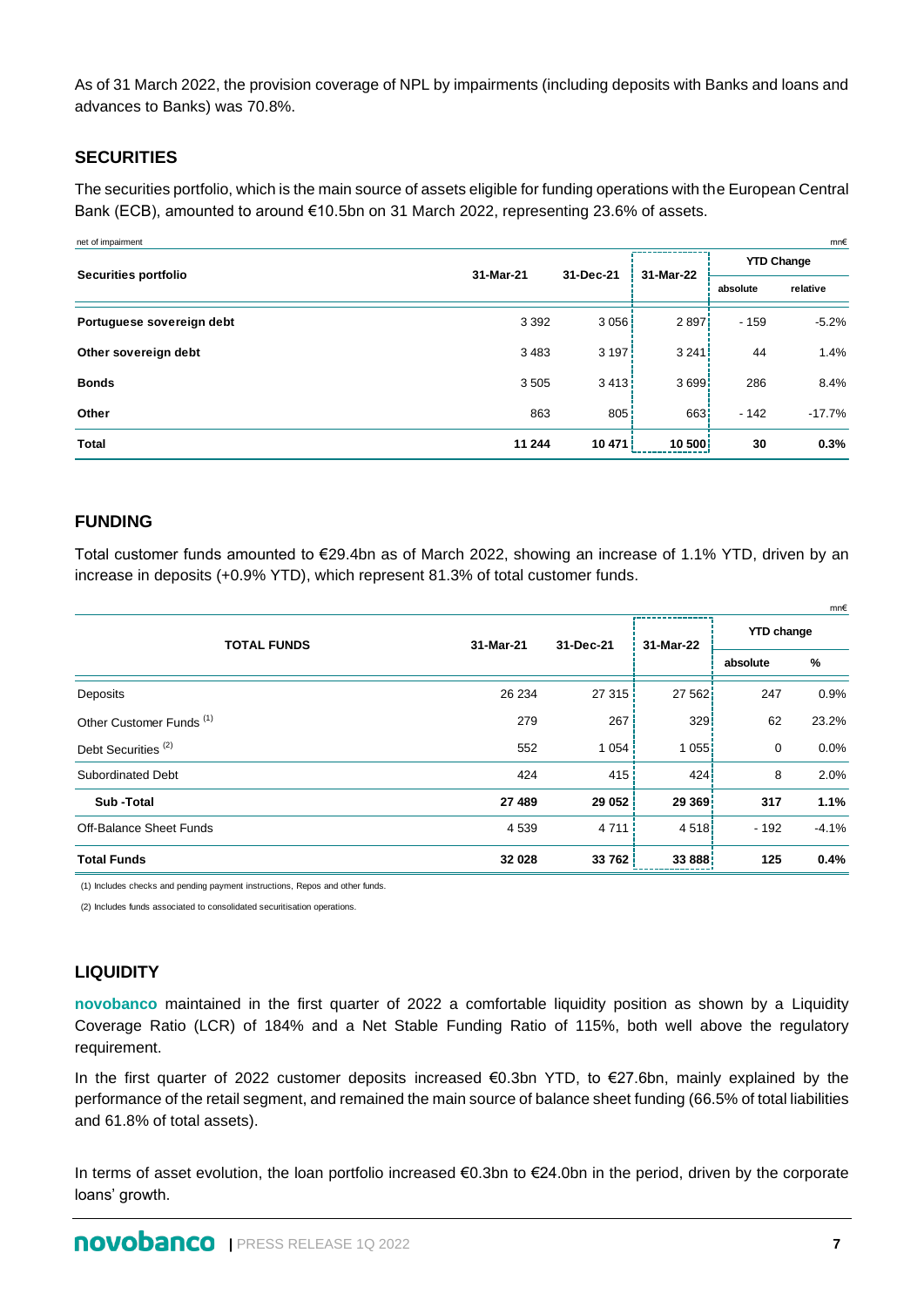As of 31 March 2022, the provision coverage of NPL by impairments (including deposits with Banks and loans and advances to Banks) was 70.8%.

## **SECURITIES**

The securities portfolio, which is the main source of assets eligible for funding operations with the European Central Bank (ECB), amounted to around €10.5bn on 31 March 2022, representing 23.6% of assets.

| mn€<br>net of impairment  |           |           |           |                   |          |  |  |  |  |
|---------------------------|-----------|-----------|-----------|-------------------|----------|--|--|--|--|
|                           |           |           | 31-Mar-22 | <b>YTD Change</b> |          |  |  |  |  |
| Securities portfolio      | 31-Mar-21 | 31-Dec-21 |           | absolute          | relative |  |  |  |  |
| Portuguese sovereign debt | 3 3 9 2   | 3056      | 2897      | $-159$            | $-5.2%$  |  |  |  |  |
| Other sovereign debt      | 3483      | 3197.     | 3 2 4 1   | 44                | 1.4%     |  |  |  |  |
| <b>Bonds</b>              | 3505      | 3413i     | 3699      | 286               | 8.4%     |  |  |  |  |
| Other                     | 863       | 805       | 663       | $-142$            | $-17.7%$ |  |  |  |  |
| <b>Total</b>              | 11 244    | 10471     | 10 500    | 30                | 0.3%     |  |  |  |  |

## **FUNDING**

Total customer funds amounted to €29.4bn as of March 2022, showing an increase of 1.1% YTD, driven by an increase in deposits (+0.9% YTD), which represent 81.3% of total customer funds.

|                                     |           |           |           |                   | mn€     |
|-------------------------------------|-----------|-----------|-----------|-------------------|---------|
| <b>TOTAL FUNDS</b>                  | 31-Mar-21 | 31-Dec-21 | 31-Mar-22 | <b>YTD change</b> |         |
|                                     |           |           |           | absolute          | %       |
| Deposits                            | 26 234    | 27315     | 27 562    | 247               | 0.9%    |
| Other Customer Funds <sup>(1)</sup> | 279       | 267       | 329       | 62                | 23.2%   |
| Debt Securities <sup>(2)</sup>      | 552       | 1 0 5 4   | 1055      | $\mathbf 0$       | 0.0%    |
| <b>Subordinated Debt</b>            | 424       | 415       | 424       | 8                 | 2.0%    |
| Sub-Total                           | 27 489    | 29 052    | 29 369    | 317               | 1.1%    |
| <b>Off-Balance Sheet Funds</b>      | 4 5 3 9   | 4 7 1 1   | 4 5 1 8 i | $-192$            | $-4.1%$ |
| <b>Total Funds</b>                  | 32 028    | 33762     | 33 888    | 125               | 0.4%    |

(1) Includes checks and pending payment instructions, Repos and other funds.

(2) Includes funds associated to consolidated securitisation operations.

## **LIQUIDITY**

**novobanco** maintained in the first quarter of 2022 a comfortable liquidity position as shown by a Liquidity Coverage Ratio (LCR) of 184% and a Net Stable Funding Ratio of 115%, both well above the regulatory requirement.

In the first quarter of 2022 customer deposits increased €0.3bn YTD, to €27.6bn, mainly explained by the performance of the retail segment, and remained the main source of balance sheet funding (66.5% of total liabilities and 61.8% of total assets).

In terms of asset evolution, the loan portfolio increased €0.3bn to €24.0bn in the period, driven by the corporate loans' growth.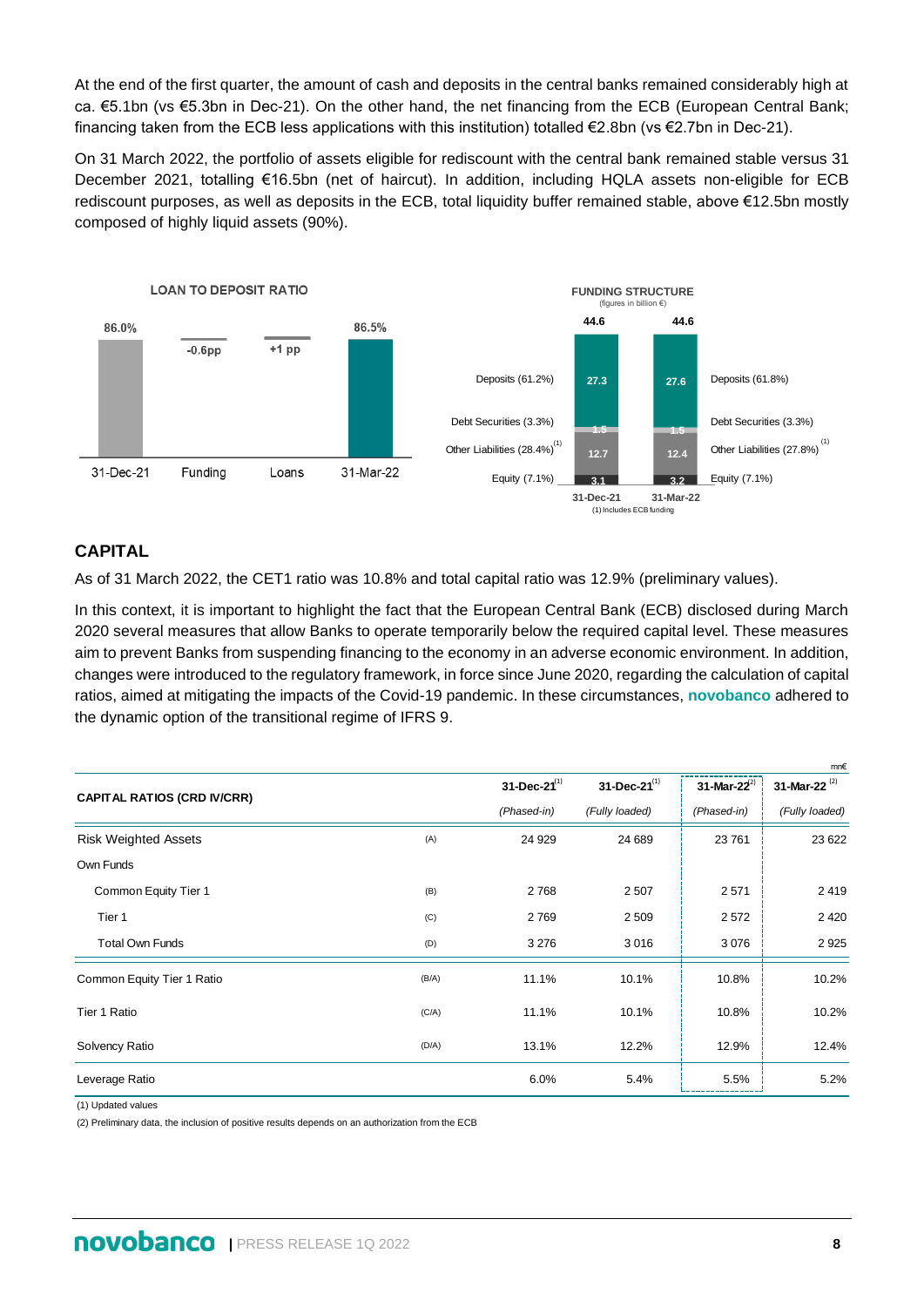At the end of the first quarter, the amount of cash and deposits in the central banks remained considerably high at ca. €5.1bn (vs €5.3bn in Dec-21). On the other hand, the net financing from the ECB (European Central Bank; financing taken from the ECB less applications with this institution) totalled €2.8bn (vs €2.7bn in Dec-21).

On 31 March 2022, the portfolio of assets eligible for rediscount with the central bank remained stable versus 31 December 2021, totalling €16.5bn (net of haircut). In addition, including HQLA assets non-eligible for ECB rediscount purposes, as well as deposits in the ECB, total liquidity buffer remained stable, above €12.5bn mostly composed of highly liquid assets (90%).



## **CAPITAL**

As of 31 March 2022, the CET1 ratio was 10.8% and total capital ratio was 12.9% (preliminary values).

In this context, it is important to highlight the fact that the European Central Bank (ECB) disclosed during March 2020 several measures that allow Banks to operate temporarily below the required capital level. These measures aim to prevent Banks from suspending financing to the economy in an adverse economic environment. In addition, changes were introduced to the regulatory framework, in force since June 2020, regarding the calculation of capital ratios, aimed at mitigating the impacts of the Covid-19 pandemic. In these circumstances, **novobanco** adhered to the dynamic option of the transitional regime of IFRS 9.

|                                    |       |                       |                       |                  | mn€                |
|------------------------------------|-------|-----------------------|-----------------------|------------------|--------------------|
| <b>CAPITAL RATIOS (CRD IV/CRR)</b> |       | $31 - Dec - 21^{(1)}$ | $31 - Dec - 21^{(1)}$ | 31-Mar-22 $^{2}$ | 31-Mar-22 $^{(2)}$ |
|                                    |       | (Phased-in)           | (Fully loaded)        | (Phased-in)      | (Fully loaded)     |
| <b>Risk Weighted Assets</b>        | (A)   | 24 9 29               | 24 689                | 23 761           | 23 6 22            |
| Own Funds                          |       |                       |                       |                  |                    |
| Common Equity Tier 1               | (B)   | 2768                  | 2507                  | 2571             | 2419               |
| Tier 1                             | (C)   | 2769                  | 2 5 0 9               | 2572             | 2 4 2 0            |
| <b>Total Own Funds</b>             | (D)   | 3 2 7 6               | 3016                  | 3 0 7 6          | 2925               |
| Common Equity Tier 1 Ratio         | (B/A) | 11.1%                 | 10.1%                 | 10.8%            | 10.2%              |
| Tier 1 Ratio                       | (C/A) | 11.1%                 | 10.1%                 | 10.8%            | 10.2%              |
| Solvency Ratio                     | (D/A) | 13.1%                 | 12.2%                 | 12.9%            | 12.4%              |
| Leverage Ratio                     |       | 6.0%                  | 5.4%                  | 5.5%             | 5.2%               |

(1) Updated values

(2) Preliminary data, the inclusion of positive results depends on an authorization from the ECB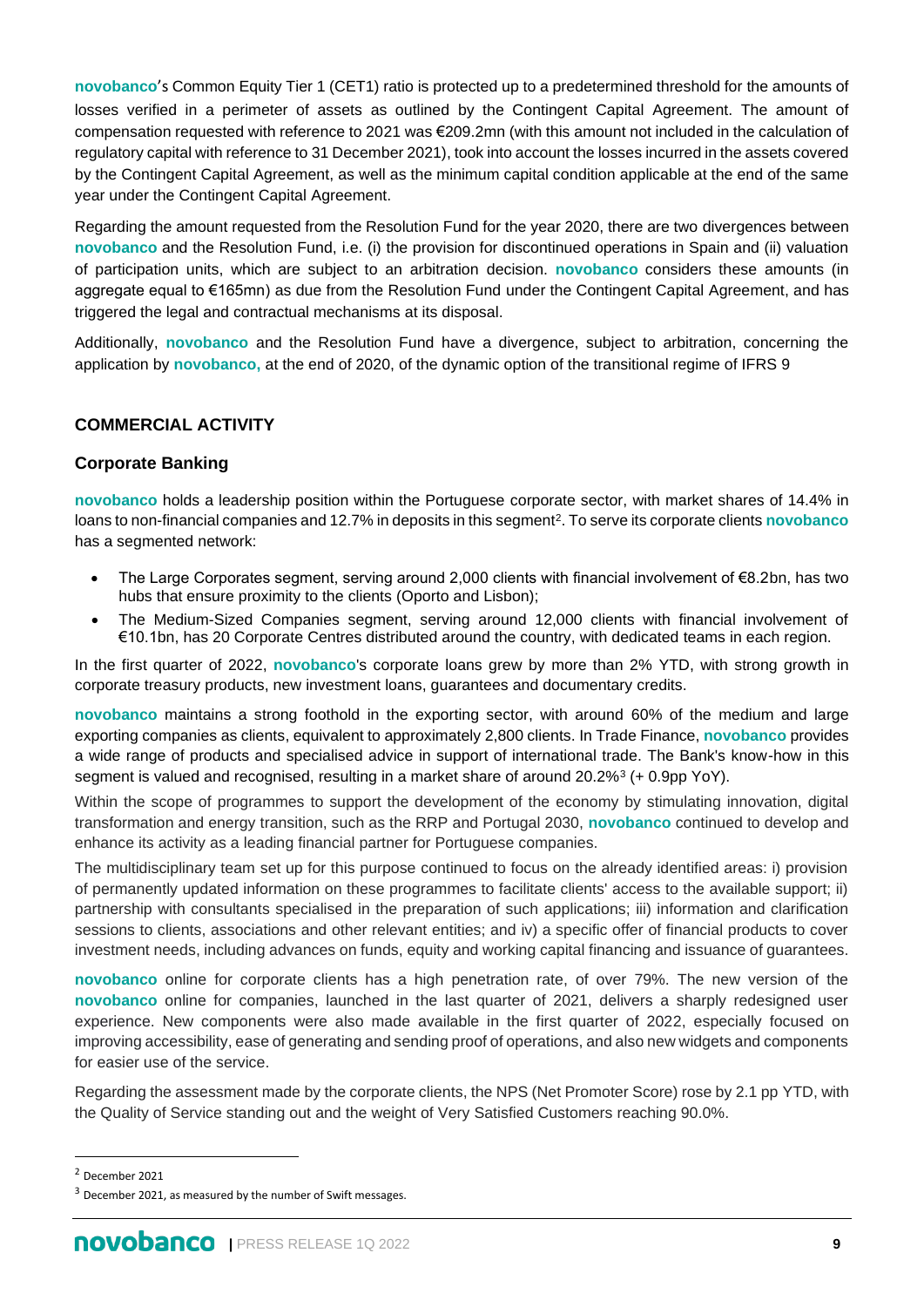**novobanco**'s Common Equity Tier 1 (CET1) ratio is protected up to a predetermined threshold for the amounts of losses verified in a perimeter of assets as outlined by the Contingent Capital Agreement. The amount of compensation requested with reference to 2021 was €209.2mn (with this amount not included in the calculation of regulatory capital with reference to 31 December 2021), took into account the losses incurred in the assets covered by the Contingent Capital Agreement, as well as the minimum capital condition applicable at the end of the same year under the Contingent Capital Agreement.

Regarding the amount requested from the Resolution Fund for the year 2020, there are two divergences between **novobanco** and the Resolution Fund, i.e. (i) the provision for discontinued operations in Spain and (ii) valuation of participation units, which are subject to an arbitration decision. **novobanco** considers these amounts (in aggregate equal to €165mn) as due from the Resolution Fund under the Contingent Capital Agreement, and has triggered the legal and contractual mechanisms at its disposal.

Additionally, **novobanco** and the Resolution Fund have a divergence, subject to arbitration, concerning the application by **novobanco,** at the end of 2020, of the dynamic option of the transitional regime of IFRS 9

## **COMMERCIAL ACTIVITY**

## **Corporate Banking**

**novobanco** holds a leadership position within the Portuguese corporate sector, with market shares of 14.4% in loans to non-financial companies and 12.7% in deposits in this segment<sup>2</sup>. To serve its corporate clients **novobanco** has a segmented network:

- The Large Corporates segment, serving around 2,000 clients with financial involvement of €8.2bn, has two hubs that ensure proximity to the clients (Oporto and Lisbon);
- The Medium-Sized Companies segment, serving around 12,000 clients with financial involvement of €10.1bn, has 20 Corporate Centres distributed around the country, with dedicated teams in each region.

In the first quarter of 2022, **novobanco**'s corporate loans grew by more than 2% YTD, with strong growth in corporate treasury products, new investment loans, guarantees and documentary credits.

**novobanco** maintains a strong foothold in the exporting sector, with around 60% of the medium and large exporting companies as clients, equivalent to approximately 2,800 clients. In Trade Finance, **novobanco** provides a wide range of products and specialised advice in support of international trade. The Bank's know-how in this segment is valued and recognised, resulting in a market share of around 20.2%<sup>3</sup> (+ 0.9pp YoY).

Within the scope of programmes to support the development of the economy by stimulating innovation, digital transformation and energy transition, such as the RRP and Portugal 2030, **novobanco** continued to develop and enhance its activity as a leading financial partner for Portuguese companies.

The multidisciplinary team set up for this purpose continued to focus on the already identified areas: i) provision of permanently updated information on these programmes to facilitate clients' access to the available support; ii) partnership with consultants specialised in the preparation of such applications; iii) information and clarification sessions to clients, associations and other relevant entities; and iv) a specific offer of financial products to cover investment needs, including advances on funds, equity and working capital financing and issuance of guarantees.

**novobanco** online for corporate clients has a high penetration rate, of over 79%. The new version of the **novobanco** online for companies, launched in the last quarter of 2021, delivers a sharply redesigned user experience. New components were also made available in the first quarter of 2022, especially focused on improving accessibility, ease of generating and sending proof of operations, and also new widgets and components for easier use of the service.

Regarding the assessment made by the corporate clients, the NPS (Net Promoter Score) rose by 2.1 pp YTD, with the Quality of Service standing out and the weight of Very Satisfied Customers reaching 90.0%.

<sup>2</sup> December 2021

 $3$  December 2021, as measured by the number of Swift messages.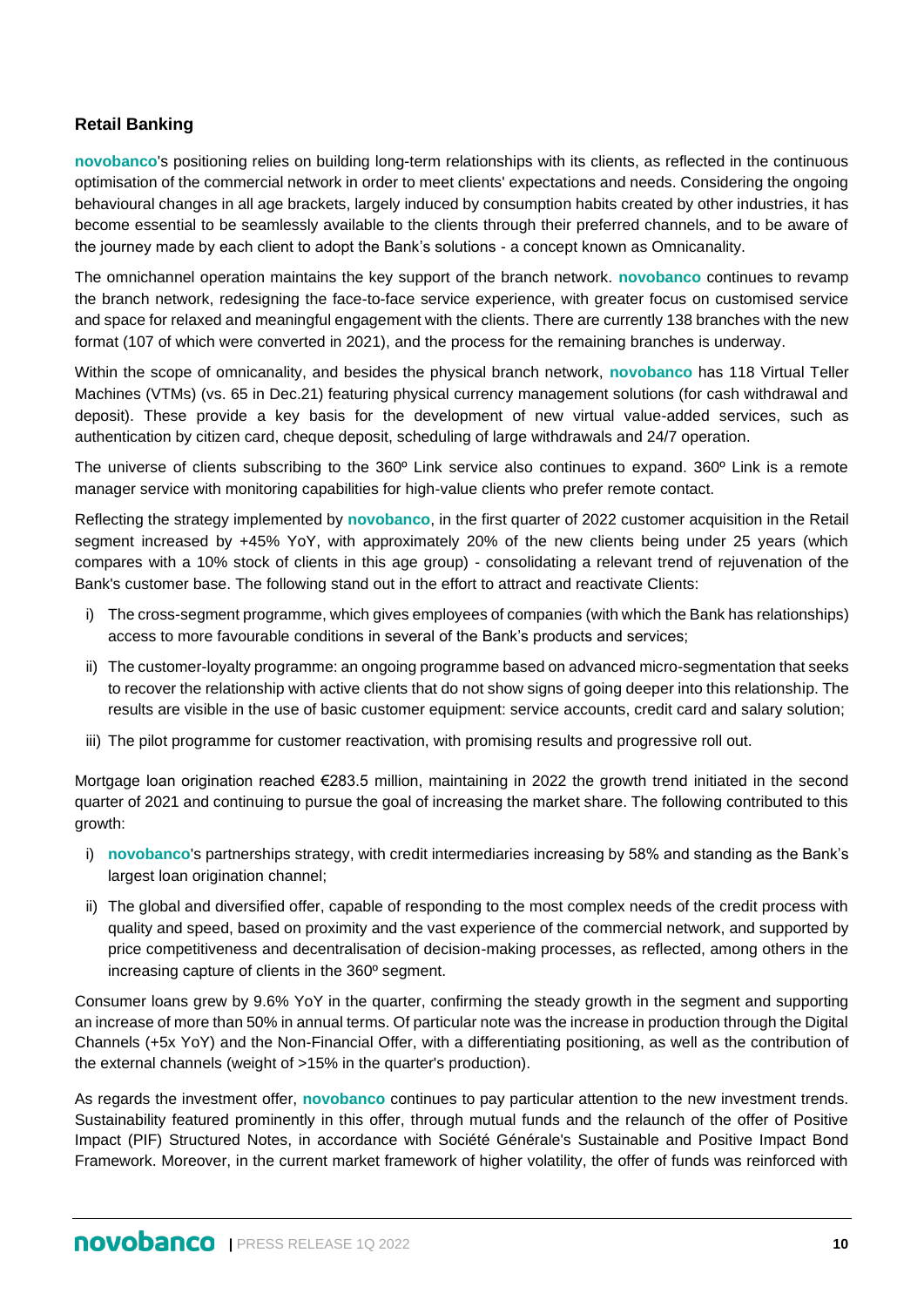## **Retail Banking**

**novobanco**'s positioning relies on building long-term relationships with its clients, as reflected in the continuous optimisation of the commercial network in order to meet clients' expectations and needs. Considering the ongoing behavioural changes in all age brackets, largely induced by consumption habits created by other industries, it has become essential to be seamlessly available to the clients through their preferred channels, and to be aware of the journey made by each client to adopt the Bank's solutions - a concept known as Omnicanality.

The omnichannel operation maintains the key support of the branch network. **novobanco** continues to revamp the branch network, redesigning the face-to-face service experience, with greater focus on customised service and space for relaxed and meaningful engagement with the clients. There are currently 138 branches with the new format (107 of which were converted in 2021), and the process for the remaining branches is underway.

Within the scope of omnicanality, and besides the physical branch network, **novobanco** has 118 Virtual Teller Machines (VTMs) (vs. 65 in Dec.21) featuring physical currency management solutions (for cash withdrawal and deposit). These provide a key basis for the development of new virtual value-added services, such as authentication by citizen card, cheque deposit, scheduling of large withdrawals and 24/7 operation.

The universe of clients subscribing to the 360º Link service also continues to expand. 360º Link is a remote manager service with monitoring capabilities for high-value clients who prefer remote contact.

Reflecting the strategy implemented by **novobanco**, in the first quarter of 2022 customer acquisition in the Retail segment increased by +45% YoY, with approximately 20% of the new clients being under 25 years (which compares with a 10% stock of clients in this age group) - consolidating a relevant trend of rejuvenation of the Bank's customer base. The following stand out in the effort to attract and reactivate Clients:

- i) The cross-segment programme, which gives employees of companies (with which the Bank has relationships) access to more favourable conditions in several of the Bank's products and services;
- ii) The customer-loyalty programme: an ongoing programme based on advanced micro-segmentation that seeks to recover the relationship with active clients that do not show signs of going deeper into this relationship. The results are visible in the use of basic customer equipment: service accounts, credit card and salary solution;
- iii) The pilot programme for customer reactivation, with promising results and progressive roll out.

Mortgage loan origination reached €283.5 million, maintaining in 2022 the growth trend initiated in the second quarter of 2021 and continuing to pursue the goal of increasing the market share. The following contributed to this growth:

- i) **novobanco**'s partnerships strategy, with credit intermediaries increasing by 58% and standing as the Bank's largest loan origination channel;
- ii) The global and diversified offer, capable of responding to the most complex needs of the credit process with quality and speed, based on proximity and the vast experience of the commercial network, and supported by price competitiveness and decentralisation of decision-making processes, as reflected, among others in the increasing capture of clients in the 360º segment.

Consumer loans grew by 9.6% YoY in the quarter, confirming the steady growth in the segment and supporting an increase of more than 50% in annual terms. Of particular note was the increase in production through the Digital Channels (+5x YoY) and the Non-Financial Offer, with a differentiating positioning, as well as the contribution of the external channels (weight of >15% in the quarter's production).

As regards the investment offer, **novobanco** continues to pay particular attention to the new investment trends. Sustainability featured prominently in this offer, through mutual funds and the relaunch of the offer of Positive Impact (PIF) Structured Notes, in accordance with Société Générale's Sustainable and Positive Impact Bond Framework. Moreover, in the current market framework of higher volatility, the offer of funds was reinforced with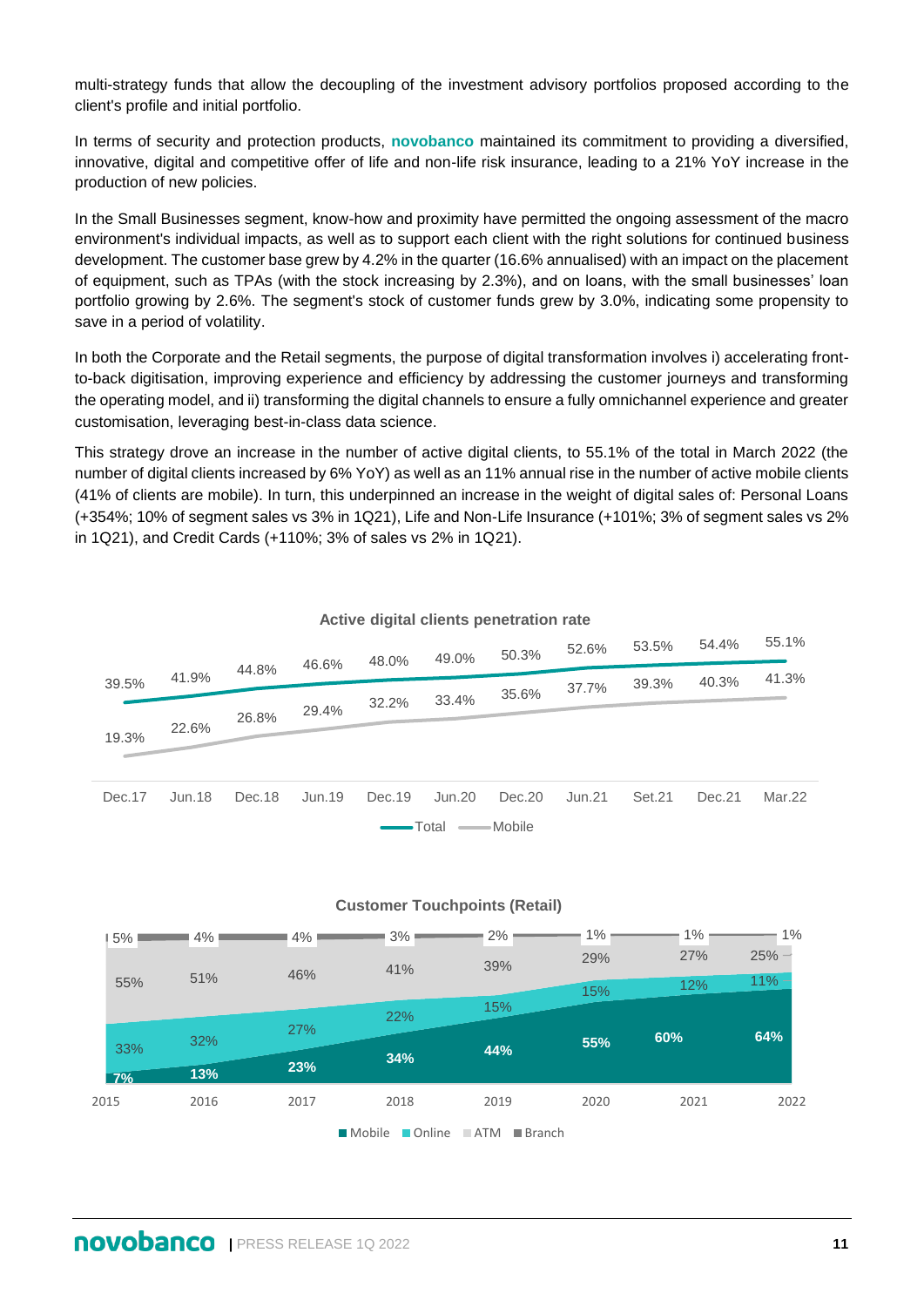multi-strategy funds that allow the decoupling of the investment advisory portfolios proposed according to the client's profile and initial portfolio.

In terms of security and protection products, **novobanco** maintained its commitment to providing a diversified, innovative, digital and competitive offer of life and non-life risk insurance, leading to a 21% YoY increase in the production of new policies.

In the Small Businesses segment, know-how and proximity have permitted the ongoing assessment of the macro environment's individual impacts, as well as to support each client with the right solutions for continued business development. The customer base grew by 4.2% in the quarter (16.6% annualised) with an impact on the placement of equipment, such as TPAs (with the stock increasing by 2.3%), and on loans, with the small businesses' loan portfolio growing by 2.6%. The segment's stock of customer funds grew by 3.0%, indicating some propensity to save in a period of volatility.

In both the Corporate and the Retail segments, the purpose of digital transformation involves i) accelerating frontto-back digitisation, improving experience and efficiency by addressing the customer journeys and transforming the operating model, and ii) transforming the digital channels to ensure a fully omnichannel experience and greater customisation, leveraging best-in-class data science.

This strategy drove an increase in the number of active digital clients, to 55.1% of the total in March 2022 (the number of digital clients increased by 6% YoY) as well as an 11% annual rise in the number of active mobile clients (41% of clients are mobile). In turn, this underpinned an increase in the weight of digital sales of: Personal Loans (+354%; 10% of segment sales vs 3% in 1Q21), Life and Non-Life Insurance (+101%; 3% of segment sales vs 2% in 1Q21), and Credit Cards (+110%; 3% of sales vs 2% in 1Q21).

|        |                  |        | 46.6%  | 48.0%  | 49.0%  | 50.3%  | 52.6%  | 53.5%  | 54.4%  | 55.1%  |
|--------|------------------|--------|--------|--------|--------|--------|--------|--------|--------|--------|
| 39.5%  | 41.9%            | 44.8%  |        |        |        |        |        | 39.3%  | 40.3%  | 41.3%  |
|        |                  |        |        | 32.2%  | 33.4%  | 35.6%  | 37.7%  |        |        |        |
|        | 22.6%            | 26.8%  | 29.4%  |        |        |        |        |        |        |        |
| 19.3%  |                  |        |        |        |        |        |        |        |        |        |
|        |                  |        |        |        |        |        |        |        |        |        |
| Dec.17 | Jun.18           | Dec.18 | Jun.19 | Dec.19 | Jun.20 | Dec.20 | Jun.21 | Set.21 | Dec.21 | Mar.22 |
|        | -Mobile<br>Total |        |        |        |        |        |        |        |        |        |
|        |                  |        |        |        |        |        |        |        |        |        |

## **Active digital clients penetration rate**



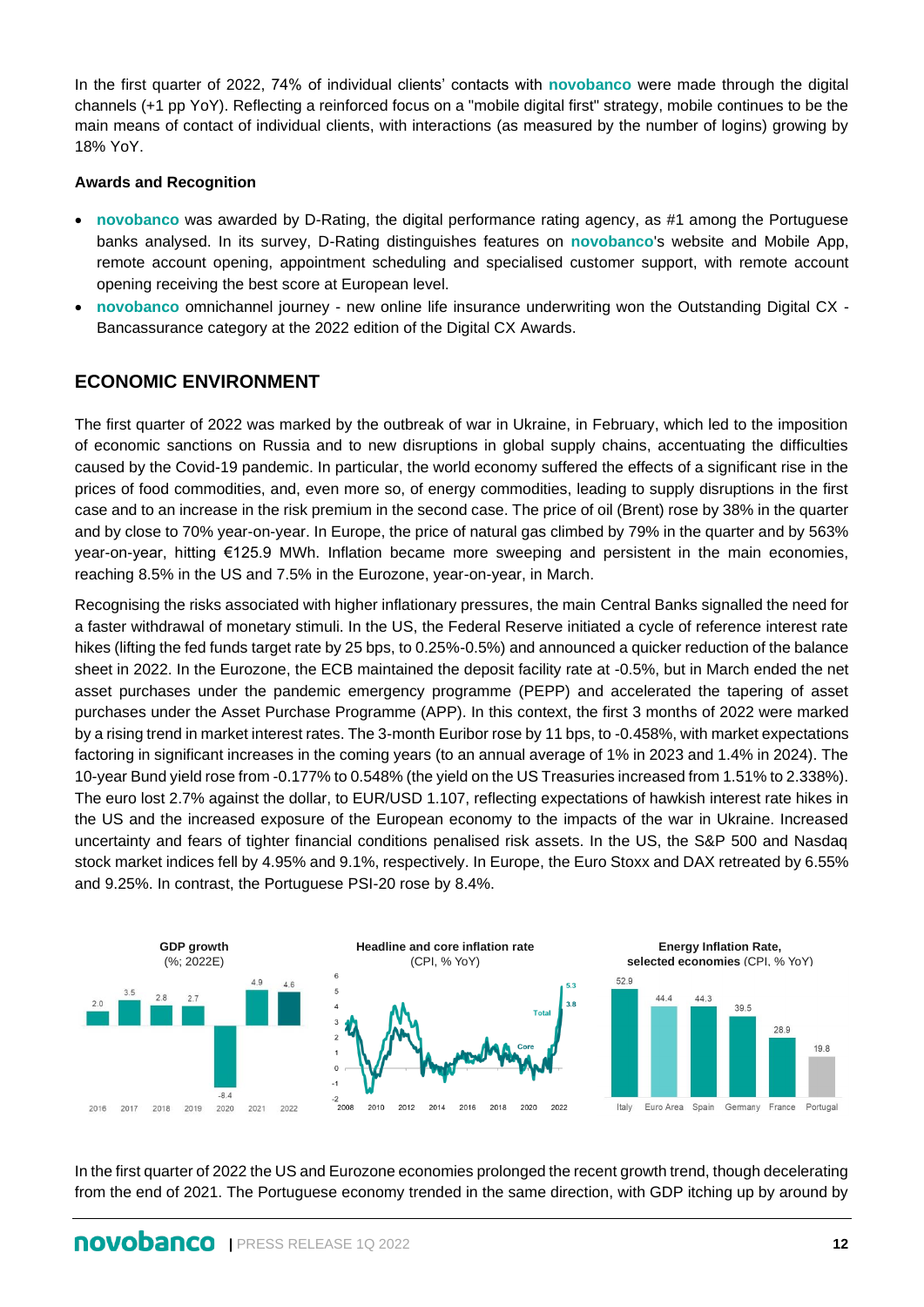In the first quarter of 2022, 74% of individual clients' contacts with **novobanco** were made through the digital channels (+1 pp YoY). Reflecting a reinforced focus on a "mobile digital first" strategy, mobile continues to be the main means of contact of individual clients, with interactions (as measured by the number of logins) growing by 18% YoY.

#### **Awards and Recognition**

- **novobanco** was awarded by D-Rating, the digital performance rating agency, as #1 among the Portuguese banks analysed. In its survey, D-Rating distinguishes features on **novobanco**'s website and Mobile App, remote account opening, appointment scheduling and specialised customer support, with remote account opening receiving the best score at European level.
- **novobanco** omnichannel journey new online life insurance underwriting won the Outstanding Digital CX Bancassurance category at the 2022 edition of the Digital CX Awards.

## **ECONOMIC ENVIRONMENT**

The first quarter of 2022 was marked by the outbreak of war in Ukraine, in February, which led to the imposition of economic sanctions on Russia and to new disruptions in global supply chains, accentuating the difficulties caused by the Covid-19 pandemic. In particular, the world economy suffered the effects of a significant rise in the prices of food commodities, and, even more so, of energy commodities, leading to supply disruptions in the first case and to an increase in the risk premium in the second case. The price of oil (Brent) rose by 38% in the quarter and by close to 70% year-on-year. In Europe, the price of natural gas climbed by 79% in the quarter and by 563% year-on-year, hitting €125.9 MWh. Inflation became more sweeping and persistent in the main economies, reaching 8.5% in the US and 7.5% in the Eurozone, year-on-year, in March.

Recognising the risks associated with higher inflationary pressures, the main Central Banks signalled the need for a faster withdrawal of monetary stimuli. In the US, the Federal Reserve initiated a cycle of reference interest rate hikes (lifting the fed funds target rate by 25 bps, to 0.25%-0.5%) and announced a quicker reduction of the balance sheet in 2022. In the Eurozone, the ECB maintained the deposit facility rate at -0.5%, but in March ended the net asset purchases under the pandemic emergency programme (PEPP) and accelerated the tapering of asset purchases under the Asset Purchase Programme (APP). In this context, the first 3 months of 2022 were marked by a rising trend in market interest rates. The 3-month Euribor rose by 11 bps, to -0.458%, with market expectations factoring in significant increases in the coming years (to an annual average of 1% in 2023 and 1.4% in 2024). The 10-year Bund yield rose from -0.177% to 0.548% (the yield on the US Treasuries increased from 1.51% to 2.338%). The euro lost 2.7% against the dollar, to EUR/USD 1.107, reflecting expectations of hawkish interest rate hikes in the US and the increased exposure of the European economy to the impacts of the war in Ukraine. Increased uncertainty and fears of tighter financial conditions penalised risk assets. In the US, the S&P 500 and Nasdaq stock market indices fell by 4.95% and 9.1%, respectively. In Europe, the Euro Stoxx and DAX retreated by 6.55% and 9.25%. In contrast, the Portuguese PSI-20 rose by 8.4%.



In the first quarter of 2022 the US and Eurozone economies prolonged the recent growth trend, though decelerating from the end of 2021. The Portuguese economy trended in the same direction, with GDP itching up by around by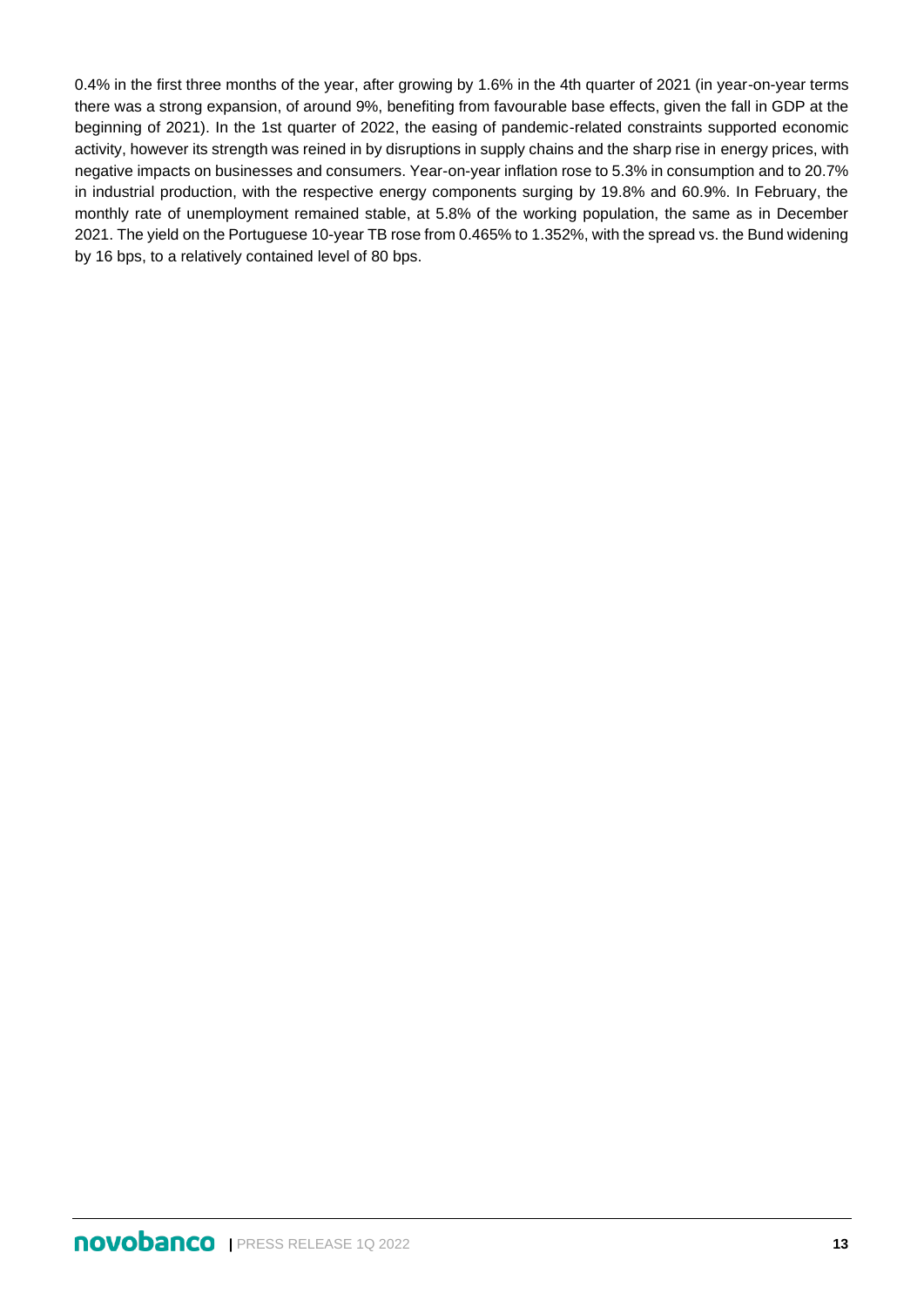0.4% in the first three months of the year, after growing by 1.6% in the 4th quarter of 2021 (in year-on-year terms there was a strong expansion, of around 9%, benefiting from favourable base effects, given the fall in GDP at the beginning of 2021). In the 1st quarter of 2022, the easing of pandemic-related constraints supported economic activity, however its strength was reined in by disruptions in supply chains and the sharp rise in energy prices, with negative impacts on businesses and consumers. Year-on-year inflation rose to 5.3% in consumption and to 20.7% in industrial production, with the respective energy components surging by 19.8% and 60.9%. In February, the monthly rate of unemployment remained stable, at 5.8% of the working population, the same as in December 2021. The yield on the Portuguese 10-year TB rose from 0.465% to 1.352%, with the spread vs. the Bund widening by 16 bps, to a relatively contained level of 80 bps.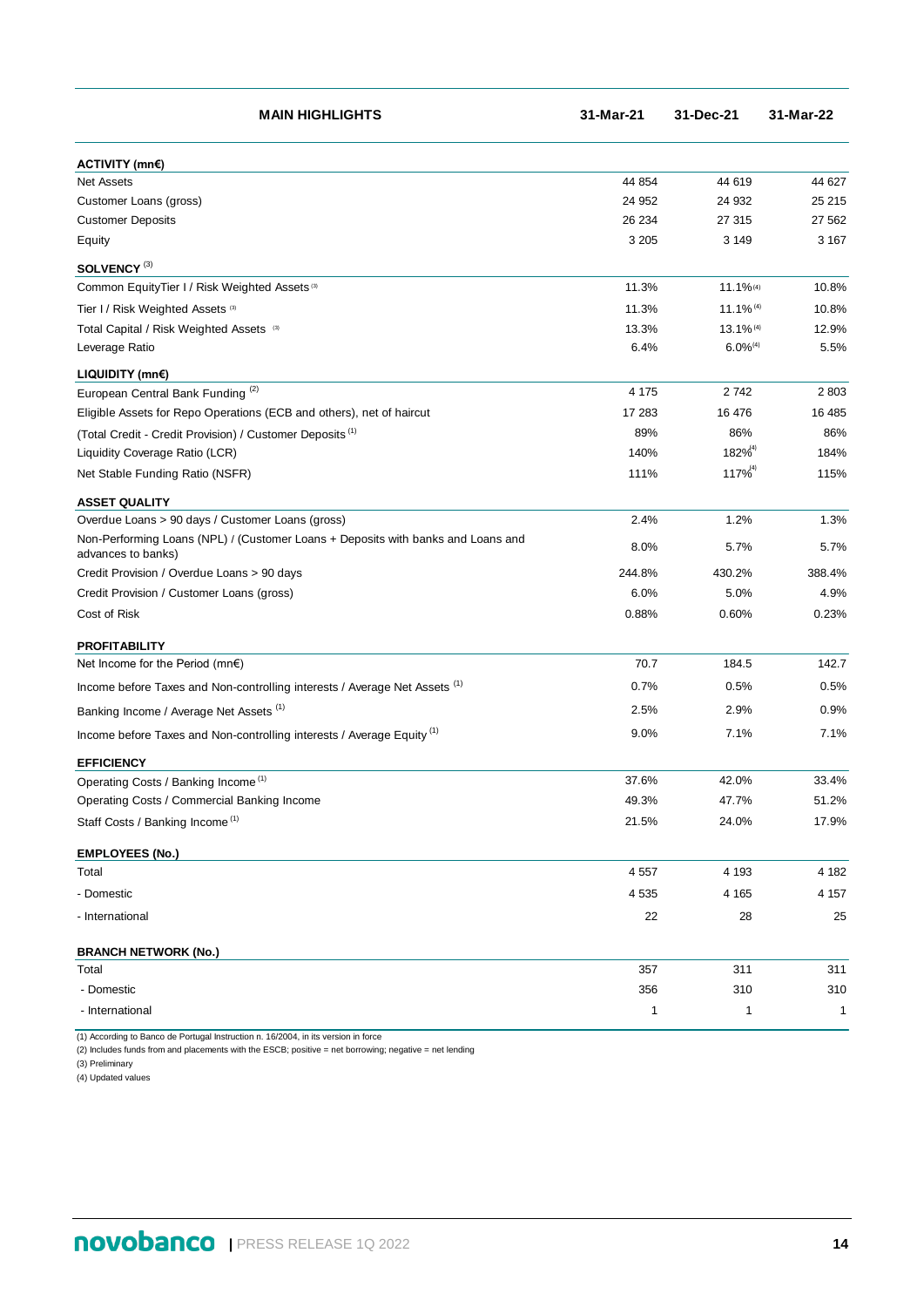| ACTIVITY (mn€)<br><b>Net Assets</b><br>44 854<br>44 619<br>44 627<br>25 215<br>Customer Loans (gross)<br>24 952<br>24 932<br><b>Customer Deposits</b><br>26 234<br>27 315<br>27 562<br>3 2 0 5<br>3 1 4 9<br>3 1 6 7<br>Equity<br>SOLVENCY <sup>(3)</sup><br>Common EquityTier I / Risk Weighted Assets <sup>(3)</sup><br>11.1%(4)<br>11.3%<br>10.8%<br>$11.1\%$ <sup>(4)</sup><br>Tier I / Risk Weighted Assets (3)<br>11.3%<br>10.8%<br>Total Capital / Risk Weighted Assets (3)<br>13.3%<br>13.1% (4)<br>12.9%<br>$6.0\%$ <sup>(4)</sup><br>Leverage Ratio<br>6.4%<br>5.5%<br>LIQUIDITY (mn€)<br>4 1 7 5<br>2742<br>2 8 0 3<br>European Central Bank Funding <sup>(2)</sup><br>Eligible Assets for Repo Operations (ECB and others), net of haircut<br>17 283<br>16 476<br>16 485<br>89%<br>86%<br>86%<br>(Total Credit - Credit Provision) / Customer Deposits <sup>(1)</sup><br>$182\%^{(4)}$<br>Liquidity Coverage Ratio (LCR)<br>140%<br>184%<br>$117\%^{(4)}$<br>Net Stable Funding Ratio (NSFR)<br>111%<br>115%<br><b>ASSET QUALITY</b><br>Overdue Loans > 90 days / Customer Loans (gross)<br>1.2%<br>2.4%<br>1.3%<br>Non-Performing Loans (NPL) / (Customer Loans + Deposits with banks and Loans and<br>8.0%<br>5.7%<br>5.7%<br>advances to banks)<br>Credit Provision / Overdue Loans > 90 days<br>244.8%<br>430.2%<br>388.4%<br>Credit Provision / Customer Loans (gross)<br>6.0%<br>5.0%<br>4.9%<br>Cost of Risk<br>0.88%<br>0.60%<br>0.23%<br><b>PROFITABILITY</b><br>70.7<br>184.5<br>142.7<br>Net Income for the Period (mn€)<br>0.7%<br>0.5%<br>0.5%<br>Income before Taxes and Non-controlling interests / Average Net Assets (1)<br>Banking Income / Average Net Assets (1)<br>2.5%<br>2.9%<br>0.9%<br>7.1%<br>7.1%<br>Income before Taxes and Non-controlling interests / Average Equity <sup>(1)</sup><br>9.0%<br><b>EFFICIENCY</b><br>37.6%<br>42.0%<br>33.4%<br>Operating Costs / Banking Income <sup>(1)</sup><br>Operating Costs / Commercial Banking Income<br>49.3%<br>47.7%<br>51.2%<br>21.5%<br>17.9%<br>24.0%<br>Staff Costs / Banking Income <sup>(1)</sup><br><b>EMPLOYEES (No.)</b><br>4 5 5 7<br>4 1 9 3<br>4 182<br>Total<br>4 5 3 5<br>4 1 6 5<br>4 1 5 7<br>- Domestic<br>22<br>- International<br>28<br>25<br><b>BRANCH NETWORK (No.)</b><br>311<br>311<br>Total<br>357<br>356<br>310<br>310<br>- Domestic<br>- International<br>1<br>1<br>$\mathbf{1}$ | <b>MAIN HIGHLIGHTS</b> | 31-Mar-21 | 31-Dec-21 | 31-Mar-22 |
|-------------------------------------------------------------------------------------------------------------------------------------------------------------------------------------------------------------------------------------------------------------------------------------------------------------------------------------------------------------------------------------------------------------------------------------------------------------------------------------------------------------------------------------------------------------------------------------------------------------------------------------------------------------------------------------------------------------------------------------------------------------------------------------------------------------------------------------------------------------------------------------------------------------------------------------------------------------------------------------------------------------------------------------------------------------------------------------------------------------------------------------------------------------------------------------------------------------------------------------------------------------------------------------------------------------------------------------------------------------------------------------------------------------------------------------------------------------------------------------------------------------------------------------------------------------------------------------------------------------------------------------------------------------------------------------------------------------------------------------------------------------------------------------------------------------------------------------------------------------------------------------------------------------------------------------------------------------------------------------------------------------------------------------------------------------------------------------------------------------------------------------------------------------------------------------------------------------------------------------------------------------------------------------------------------------------------------------------------------------------------------------------------|------------------------|-----------|-----------|-----------|
|                                                                                                                                                                                                                                                                                                                                                                                                                                                                                                                                                                                                                                                                                                                                                                                                                                                                                                                                                                                                                                                                                                                                                                                                                                                                                                                                                                                                                                                                                                                                                                                                                                                                                                                                                                                                                                                                                                                                                                                                                                                                                                                                                                                                                                                                                                                                                                                                 |                        |           |           |           |
|                                                                                                                                                                                                                                                                                                                                                                                                                                                                                                                                                                                                                                                                                                                                                                                                                                                                                                                                                                                                                                                                                                                                                                                                                                                                                                                                                                                                                                                                                                                                                                                                                                                                                                                                                                                                                                                                                                                                                                                                                                                                                                                                                                                                                                                                                                                                                                                                 |                        |           |           |           |
|                                                                                                                                                                                                                                                                                                                                                                                                                                                                                                                                                                                                                                                                                                                                                                                                                                                                                                                                                                                                                                                                                                                                                                                                                                                                                                                                                                                                                                                                                                                                                                                                                                                                                                                                                                                                                                                                                                                                                                                                                                                                                                                                                                                                                                                                                                                                                                                                 |                        |           |           |           |
|                                                                                                                                                                                                                                                                                                                                                                                                                                                                                                                                                                                                                                                                                                                                                                                                                                                                                                                                                                                                                                                                                                                                                                                                                                                                                                                                                                                                                                                                                                                                                                                                                                                                                                                                                                                                                                                                                                                                                                                                                                                                                                                                                                                                                                                                                                                                                                                                 |                        |           |           |           |
|                                                                                                                                                                                                                                                                                                                                                                                                                                                                                                                                                                                                                                                                                                                                                                                                                                                                                                                                                                                                                                                                                                                                                                                                                                                                                                                                                                                                                                                                                                                                                                                                                                                                                                                                                                                                                                                                                                                                                                                                                                                                                                                                                                                                                                                                                                                                                                                                 |                        |           |           |           |
|                                                                                                                                                                                                                                                                                                                                                                                                                                                                                                                                                                                                                                                                                                                                                                                                                                                                                                                                                                                                                                                                                                                                                                                                                                                                                                                                                                                                                                                                                                                                                                                                                                                                                                                                                                                                                                                                                                                                                                                                                                                                                                                                                                                                                                                                                                                                                                                                 |                        |           |           |           |
|                                                                                                                                                                                                                                                                                                                                                                                                                                                                                                                                                                                                                                                                                                                                                                                                                                                                                                                                                                                                                                                                                                                                                                                                                                                                                                                                                                                                                                                                                                                                                                                                                                                                                                                                                                                                                                                                                                                                                                                                                                                                                                                                                                                                                                                                                                                                                                                                 |                        |           |           |           |
|                                                                                                                                                                                                                                                                                                                                                                                                                                                                                                                                                                                                                                                                                                                                                                                                                                                                                                                                                                                                                                                                                                                                                                                                                                                                                                                                                                                                                                                                                                                                                                                                                                                                                                                                                                                                                                                                                                                                                                                                                                                                                                                                                                                                                                                                                                                                                                                                 |                        |           |           |           |
|                                                                                                                                                                                                                                                                                                                                                                                                                                                                                                                                                                                                                                                                                                                                                                                                                                                                                                                                                                                                                                                                                                                                                                                                                                                                                                                                                                                                                                                                                                                                                                                                                                                                                                                                                                                                                                                                                                                                                                                                                                                                                                                                                                                                                                                                                                                                                                                                 |                        |           |           |           |
|                                                                                                                                                                                                                                                                                                                                                                                                                                                                                                                                                                                                                                                                                                                                                                                                                                                                                                                                                                                                                                                                                                                                                                                                                                                                                                                                                                                                                                                                                                                                                                                                                                                                                                                                                                                                                                                                                                                                                                                                                                                                                                                                                                                                                                                                                                                                                                                                 |                        |           |           |           |
|                                                                                                                                                                                                                                                                                                                                                                                                                                                                                                                                                                                                                                                                                                                                                                                                                                                                                                                                                                                                                                                                                                                                                                                                                                                                                                                                                                                                                                                                                                                                                                                                                                                                                                                                                                                                                                                                                                                                                                                                                                                                                                                                                                                                                                                                                                                                                                                                 |                        |           |           |           |
|                                                                                                                                                                                                                                                                                                                                                                                                                                                                                                                                                                                                                                                                                                                                                                                                                                                                                                                                                                                                                                                                                                                                                                                                                                                                                                                                                                                                                                                                                                                                                                                                                                                                                                                                                                                                                                                                                                                                                                                                                                                                                                                                                                                                                                                                                                                                                                                                 |                        |           |           |           |
|                                                                                                                                                                                                                                                                                                                                                                                                                                                                                                                                                                                                                                                                                                                                                                                                                                                                                                                                                                                                                                                                                                                                                                                                                                                                                                                                                                                                                                                                                                                                                                                                                                                                                                                                                                                                                                                                                                                                                                                                                                                                                                                                                                                                                                                                                                                                                                                                 |                        |           |           |           |
|                                                                                                                                                                                                                                                                                                                                                                                                                                                                                                                                                                                                                                                                                                                                                                                                                                                                                                                                                                                                                                                                                                                                                                                                                                                                                                                                                                                                                                                                                                                                                                                                                                                                                                                                                                                                                                                                                                                                                                                                                                                                                                                                                                                                                                                                                                                                                                                                 |                        |           |           |           |
|                                                                                                                                                                                                                                                                                                                                                                                                                                                                                                                                                                                                                                                                                                                                                                                                                                                                                                                                                                                                                                                                                                                                                                                                                                                                                                                                                                                                                                                                                                                                                                                                                                                                                                                                                                                                                                                                                                                                                                                                                                                                                                                                                                                                                                                                                                                                                                                                 |                        |           |           |           |
|                                                                                                                                                                                                                                                                                                                                                                                                                                                                                                                                                                                                                                                                                                                                                                                                                                                                                                                                                                                                                                                                                                                                                                                                                                                                                                                                                                                                                                                                                                                                                                                                                                                                                                                                                                                                                                                                                                                                                                                                                                                                                                                                                                                                                                                                                                                                                                                                 |                        |           |           |           |
|                                                                                                                                                                                                                                                                                                                                                                                                                                                                                                                                                                                                                                                                                                                                                                                                                                                                                                                                                                                                                                                                                                                                                                                                                                                                                                                                                                                                                                                                                                                                                                                                                                                                                                                                                                                                                                                                                                                                                                                                                                                                                                                                                                                                                                                                                                                                                                                                 |                        |           |           |           |
|                                                                                                                                                                                                                                                                                                                                                                                                                                                                                                                                                                                                                                                                                                                                                                                                                                                                                                                                                                                                                                                                                                                                                                                                                                                                                                                                                                                                                                                                                                                                                                                                                                                                                                                                                                                                                                                                                                                                                                                                                                                                                                                                                                                                                                                                                                                                                                                                 |                        |           |           |           |
|                                                                                                                                                                                                                                                                                                                                                                                                                                                                                                                                                                                                                                                                                                                                                                                                                                                                                                                                                                                                                                                                                                                                                                                                                                                                                                                                                                                                                                                                                                                                                                                                                                                                                                                                                                                                                                                                                                                                                                                                                                                                                                                                                                                                                                                                                                                                                                                                 |                        |           |           |           |
|                                                                                                                                                                                                                                                                                                                                                                                                                                                                                                                                                                                                                                                                                                                                                                                                                                                                                                                                                                                                                                                                                                                                                                                                                                                                                                                                                                                                                                                                                                                                                                                                                                                                                                                                                                                                                                                                                                                                                                                                                                                                                                                                                                                                                                                                                                                                                                                                 |                        |           |           |           |
|                                                                                                                                                                                                                                                                                                                                                                                                                                                                                                                                                                                                                                                                                                                                                                                                                                                                                                                                                                                                                                                                                                                                                                                                                                                                                                                                                                                                                                                                                                                                                                                                                                                                                                                                                                                                                                                                                                                                                                                                                                                                                                                                                                                                                                                                                                                                                                                                 |                        |           |           |           |
|                                                                                                                                                                                                                                                                                                                                                                                                                                                                                                                                                                                                                                                                                                                                                                                                                                                                                                                                                                                                                                                                                                                                                                                                                                                                                                                                                                                                                                                                                                                                                                                                                                                                                                                                                                                                                                                                                                                                                                                                                                                                                                                                                                                                                                                                                                                                                                                                 |                        |           |           |           |
|                                                                                                                                                                                                                                                                                                                                                                                                                                                                                                                                                                                                                                                                                                                                                                                                                                                                                                                                                                                                                                                                                                                                                                                                                                                                                                                                                                                                                                                                                                                                                                                                                                                                                                                                                                                                                                                                                                                                                                                                                                                                                                                                                                                                                                                                                                                                                                                                 |                        |           |           |           |
|                                                                                                                                                                                                                                                                                                                                                                                                                                                                                                                                                                                                                                                                                                                                                                                                                                                                                                                                                                                                                                                                                                                                                                                                                                                                                                                                                                                                                                                                                                                                                                                                                                                                                                                                                                                                                                                                                                                                                                                                                                                                                                                                                                                                                                                                                                                                                                                                 |                        |           |           |           |
|                                                                                                                                                                                                                                                                                                                                                                                                                                                                                                                                                                                                                                                                                                                                                                                                                                                                                                                                                                                                                                                                                                                                                                                                                                                                                                                                                                                                                                                                                                                                                                                                                                                                                                                                                                                                                                                                                                                                                                                                                                                                                                                                                                                                                                                                                                                                                                                                 |                        |           |           |           |
|                                                                                                                                                                                                                                                                                                                                                                                                                                                                                                                                                                                                                                                                                                                                                                                                                                                                                                                                                                                                                                                                                                                                                                                                                                                                                                                                                                                                                                                                                                                                                                                                                                                                                                                                                                                                                                                                                                                                                                                                                                                                                                                                                                                                                                                                                                                                                                                                 |                        |           |           |           |
|                                                                                                                                                                                                                                                                                                                                                                                                                                                                                                                                                                                                                                                                                                                                                                                                                                                                                                                                                                                                                                                                                                                                                                                                                                                                                                                                                                                                                                                                                                                                                                                                                                                                                                                                                                                                                                                                                                                                                                                                                                                                                                                                                                                                                                                                                                                                                                                                 |                        |           |           |           |
|                                                                                                                                                                                                                                                                                                                                                                                                                                                                                                                                                                                                                                                                                                                                                                                                                                                                                                                                                                                                                                                                                                                                                                                                                                                                                                                                                                                                                                                                                                                                                                                                                                                                                                                                                                                                                                                                                                                                                                                                                                                                                                                                                                                                                                                                                                                                                                                                 |                        |           |           |           |
|                                                                                                                                                                                                                                                                                                                                                                                                                                                                                                                                                                                                                                                                                                                                                                                                                                                                                                                                                                                                                                                                                                                                                                                                                                                                                                                                                                                                                                                                                                                                                                                                                                                                                                                                                                                                                                                                                                                                                                                                                                                                                                                                                                                                                                                                                                                                                                                                 |                        |           |           |           |
|                                                                                                                                                                                                                                                                                                                                                                                                                                                                                                                                                                                                                                                                                                                                                                                                                                                                                                                                                                                                                                                                                                                                                                                                                                                                                                                                                                                                                                                                                                                                                                                                                                                                                                                                                                                                                                                                                                                                                                                                                                                                                                                                                                                                                                                                                                                                                                                                 |                        |           |           |           |
|                                                                                                                                                                                                                                                                                                                                                                                                                                                                                                                                                                                                                                                                                                                                                                                                                                                                                                                                                                                                                                                                                                                                                                                                                                                                                                                                                                                                                                                                                                                                                                                                                                                                                                                                                                                                                                                                                                                                                                                                                                                                                                                                                                                                                                                                                                                                                                                                 |                        |           |           |           |
|                                                                                                                                                                                                                                                                                                                                                                                                                                                                                                                                                                                                                                                                                                                                                                                                                                                                                                                                                                                                                                                                                                                                                                                                                                                                                                                                                                                                                                                                                                                                                                                                                                                                                                                                                                                                                                                                                                                                                                                                                                                                                                                                                                                                                                                                                                                                                                                                 |                        |           |           |           |
|                                                                                                                                                                                                                                                                                                                                                                                                                                                                                                                                                                                                                                                                                                                                                                                                                                                                                                                                                                                                                                                                                                                                                                                                                                                                                                                                                                                                                                                                                                                                                                                                                                                                                                                                                                                                                                                                                                                                                                                                                                                                                                                                                                                                                                                                                                                                                                                                 |                        |           |           |           |
|                                                                                                                                                                                                                                                                                                                                                                                                                                                                                                                                                                                                                                                                                                                                                                                                                                                                                                                                                                                                                                                                                                                                                                                                                                                                                                                                                                                                                                                                                                                                                                                                                                                                                                                                                                                                                                                                                                                                                                                                                                                                                                                                                                                                                                                                                                                                                                                                 |                        |           |           |           |
|                                                                                                                                                                                                                                                                                                                                                                                                                                                                                                                                                                                                                                                                                                                                                                                                                                                                                                                                                                                                                                                                                                                                                                                                                                                                                                                                                                                                                                                                                                                                                                                                                                                                                                                                                                                                                                                                                                                                                                                                                                                                                                                                                                                                                                                                                                                                                                                                 |                        |           |           |           |
|                                                                                                                                                                                                                                                                                                                                                                                                                                                                                                                                                                                                                                                                                                                                                                                                                                                                                                                                                                                                                                                                                                                                                                                                                                                                                                                                                                                                                                                                                                                                                                                                                                                                                                                                                                                                                                                                                                                                                                                                                                                                                                                                                                                                                                                                                                                                                                                                 |                        |           |           |           |
|                                                                                                                                                                                                                                                                                                                                                                                                                                                                                                                                                                                                                                                                                                                                                                                                                                                                                                                                                                                                                                                                                                                                                                                                                                                                                                                                                                                                                                                                                                                                                                                                                                                                                                                                                                                                                                                                                                                                                                                                                                                                                                                                                                                                                                                                                                                                                                                                 |                        |           |           |           |
|                                                                                                                                                                                                                                                                                                                                                                                                                                                                                                                                                                                                                                                                                                                                                                                                                                                                                                                                                                                                                                                                                                                                                                                                                                                                                                                                                                                                                                                                                                                                                                                                                                                                                                                                                                                                                                                                                                                                                                                                                                                                                                                                                                                                                                                                                                                                                                                                 |                        |           |           |           |
|                                                                                                                                                                                                                                                                                                                                                                                                                                                                                                                                                                                                                                                                                                                                                                                                                                                                                                                                                                                                                                                                                                                                                                                                                                                                                                                                                                                                                                                                                                                                                                                                                                                                                                                                                                                                                                                                                                                                                                                                                                                                                                                                                                                                                                                                                                                                                                                                 |                        |           |           |           |

(1) According to Banco de Portugal Instruction n. 16/2004, in its version in force

(2) Includes funds from and placements with the ESCB; positive = net borrowing; negative = net lending

(3) Preliminary

(4) Updated values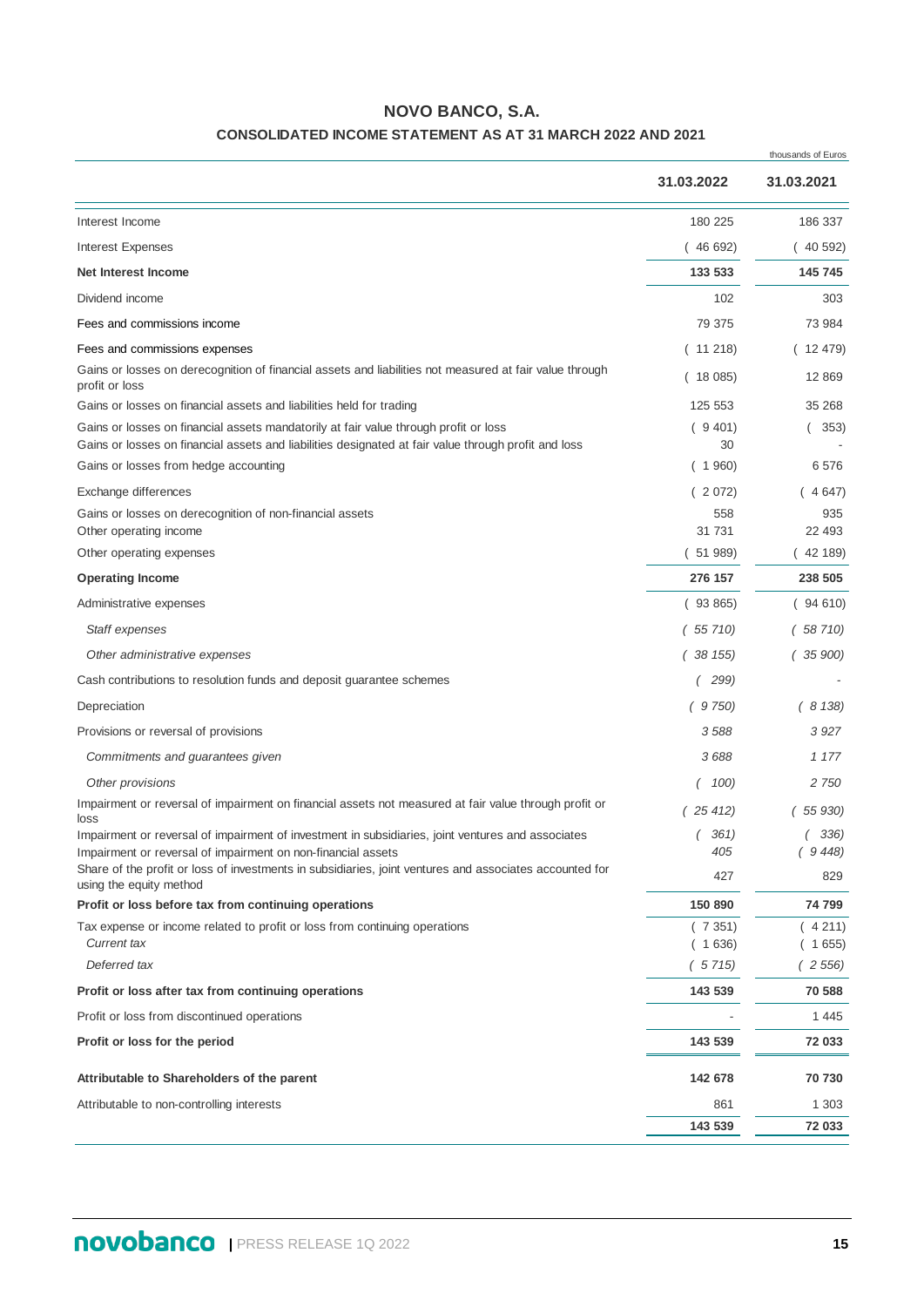## **NOVO BANCO, S.A.**

## **CONSOLIDATED INCOME STATEMENT AS AT 31 MARCH 2022 AND 2021**

|                                                                                                                                                                                              |                   | thousands of Euros |  |
|----------------------------------------------------------------------------------------------------------------------------------------------------------------------------------------------|-------------------|--------------------|--|
|                                                                                                                                                                                              | 31.03.2022        | 31.03.2021         |  |
| Interest Income                                                                                                                                                                              | 180 225           | 186 337            |  |
| <b>Interest Expenses</b>                                                                                                                                                                     | (46692)           | (40592)            |  |
| <b>Net Interest Income</b>                                                                                                                                                                   | 133 533           | 145 745            |  |
| Dividend income                                                                                                                                                                              | 102               | 303                |  |
| Fees and commissions income                                                                                                                                                                  | 79 375            | 73 984             |  |
| Fees and commissions expenses                                                                                                                                                                | (11218)           | 12 479)            |  |
| Gains or losses on derecognition of financial assets and liabilities not measured at fair value through<br>profit or loss                                                                    | (18085)           | 12 869             |  |
| Gains or losses on financial assets and liabilities held for trading                                                                                                                         | 125 553           | 35 268             |  |
| Gains or losses on financial assets mandatorily at fair value through profit or loss<br>Gains or losses on financial assets and liabilities designated at fair value through profit and loss | (9401)<br>30      | (353)              |  |
| Gains or losses from hedge accounting                                                                                                                                                        | (1960)            | 6576               |  |
| Exchange differences                                                                                                                                                                         | (2072)            | (4647)             |  |
| Gains or losses on derecognition of non-financial assets                                                                                                                                     | 558               | 935                |  |
| Other operating income<br>Other operating expenses                                                                                                                                           | 31 731<br>(51989) | 22 493<br>(42189)  |  |
|                                                                                                                                                                                              |                   |                    |  |
| <b>Operating Income</b>                                                                                                                                                                      | 276 157           | 238 505            |  |
| Administrative expenses                                                                                                                                                                      | (93865)           | (94610)            |  |
| Staff expenses                                                                                                                                                                               | (55710)           | 58 710)            |  |
| Other administrative expenses                                                                                                                                                                | (38155)           | 35 900)            |  |
| Cash contributions to resolution funds and deposit guarantee schemes                                                                                                                         | 299)              |                    |  |
| Depreciation                                                                                                                                                                                 | 9 750)            | (8138)             |  |
| Provisions or reversal of provisions                                                                                                                                                         | 3588              | 3927               |  |
| Commitments and guarantees given                                                                                                                                                             | 3688              | 1 177              |  |
| Other provisions                                                                                                                                                                             | 100)              | 2 750              |  |
| Impairment or reversal of impairment on financial assets not measured at fair value through profit or<br>loss                                                                                | (25412)           | 55 930)            |  |
| Impairment or reversal of impairment of investment in subsidiaries, joint ventures and associates                                                                                            | 361)              | 336)               |  |
| Impairment or reversal of impairment on non-financial assets<br>Share of the profit or loss of investments in subsidiaries, joint ventures and associates accounted for                      | 405               | (9448)             |  |
| using the equity method                                                                                                                                                                      | 427               | 829                |  |
| Profit or loss before tax from continuing operations                                                                                                                                         | 150 890           | 74 799             |  |
| Tax expense or income related to profit or loss from continuing operations<br><b>Current tax</b>                                                                                             | (7351)<br>(1636)  | (4211)<br>(1655)   |  |
| Deferred tax                                                                                                                                                                                 | (5715)            | (2556)             |  |
| Profit or loss after tax from continuing operations                                                                                                                                          | 143 539           | 70 588             |  |
| Profit or loss from discontinued operations                                                                                                                                                  |                   | 1 4 4 5            |  |
| Profit or loss for the period                                                                                                                                                                | 143 539           | 72 033             |  |
| Attributable to Shareholders of the parent                                                                                                                                                   | 142 678           | 70 730             |  |
| Attributable to non-controlling interests                                                                                                                                                    | 861               | 1 303              |  |
|                                                                                                                                                                                              | 143 539           | 72 033             |  |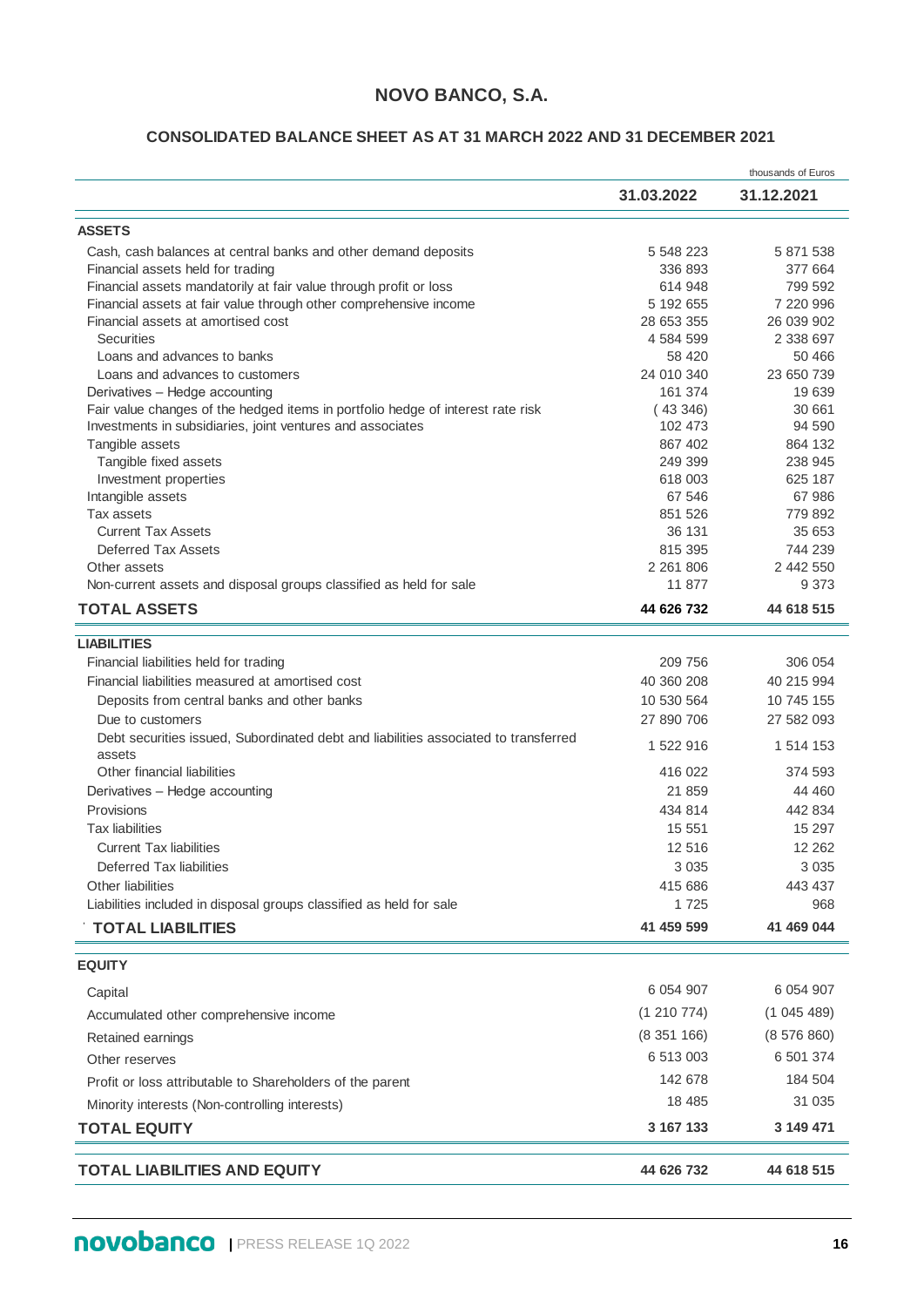## **NOVO BANCO, S.A.**

#### **CONSOLIDATED BALANCE SHEET AS AT 31 MARCH 2022 AND 31 DECEMBER 2021**

|                                                                                     |               | thousands of Euros |
|-------------------------------------------------------------------------------------|---------------|--------------------|
|                                                                                     | 31.03.2022    | 31.12.2021         |
| <b>ASSETS</b>                                                                       |               |                    |
| Cash, cash balances at central banks and other demand deposits                      | 5 548 223     | 5 871 538          |
| Financial assets held for trading                                                   | 336 893       | 377 664            |
| Financial assets mandatorily at fair value through profit or loss                   | 614 948       | 799 592            |
| Financial assets at fair value through other comprehensive income                   | 5 192 655     | 7 220 996          |
| Financial assets at amortised cost                                                  | 28 653 355    | 26 039 902         |
| <b>Securities</b>                                                                   | 4 584 599     | 2 338 697          |
| Loans and advances to banks                                                         | 58 4 20       | 50 466             |
| Loans and advances to customers                                                     | 24 010 340    | 23 650 739         |
| Derivatives - Hedge accounting                                                      | 161 374       | 19 639             |
| Fair value changes of the hedged items in portfolio hedge of interest rate risk     | (43346)       | 30 661             |
| Investments in subsidiaries, joint ventures and associates                          | 102 473       | 94 590             |
| Tangible assets                                                                     | 867 402       | 864 132            |
| Tangible fixed assets                                                               | 249 399       | 238 945            |
| Investment properties                                                               | 618 003       | 625 187            |
| Intangible assets                                                                   | 67 546        | 67 986             |
| Tax assets                                                                          | 851 526       | 779 892            |
| <b>Current Tax Assets</b>                                                           | 36 131        | 35 653             |
| Deferred Tax Assets                                                                 | 815 395       | 744 239            |
| Other assets                                                                        | 2 2 6 1 8 0 6 | 2 442 550          |
| Non-current assets and disposal groups classified as held for sale                  | 11 877        | 9 3 7 3            |
| <b>TOTAL ASSETS</b>                                                                 | 44 626 732    | 44 618 515         |
| <b>LIABILITIES</b>                                                                  |               |                    |
| Financial liabilities held for trading                                              | 209 756       | 306 054            |
| Financial liabilities measured at amortised cost                                    | 40 360 208    | 40 215 994         |
| Deposits from central banks and other banks                                         | 10 530 564    | 10 745 155         |
| Due to customers                                                                    | 27 890 706    | 27 582 093         |
| Debt securities issued, Subordinated debt and liabilities associated to transferred |               |                    |
| assets                                                                              | 1 522 916     | 1 514 153          |
| Other financial liabilities                                                         | 416 022       | 374 593            |
| Derivatives - Hedge accounting                                                      | 21 859        | 44 460             |
| Provisions                                                                          | 434 814       | 442 834            |
| Tax liabilities                                                                     | 15 551        | 15 297             |
| <b>Current Tax liabilities</b>                                                      | 12 516        | 12 262             |
| Deferred Tax liabilities                                                            | 3 0 3 5       | 3 0 3 5            |
| Other liabilities                                                                   | 415 686       | 443 437            |
| Liabilities included in disposal groups classified as held for sale                 | 1 7 2 5       | 968                |
| <b>TOTAL LIABILITIES</b>                                                            | 41 459 599    | 41 469 044         |
|                                                                                     |               |                    |
| <b>EQUITY</b>                                                                       |               |                    |
| Capital                                                                             | 6 0 5 4 9 0 7 | 6 0 54 9 0 7       |
| Accumulated other comprehensive income                                              | (1 210 774)   | (1045489)          |
| Retained earnings                                                                   | (8351166)     | (8576860)          |
| Other reserves                                                                      | 6 513 003     | 6 501 374          |
|                                                                                     | 142 678       | 184 504            |
| Profit or loss attributable to Shareholders of the parent                           |               |                    |
| Minority interests (Non-controlling interests)                                      | 18 4 8 5      | 31 0 35            |
| <b>TOTAL EQUITY</b>                                                                 | 3 167 133     | 3 149 471          |
| <b>TOTAL LIABILITIES AND EQUITY</b>                                                 | 44 626 732    | 44 618 515         |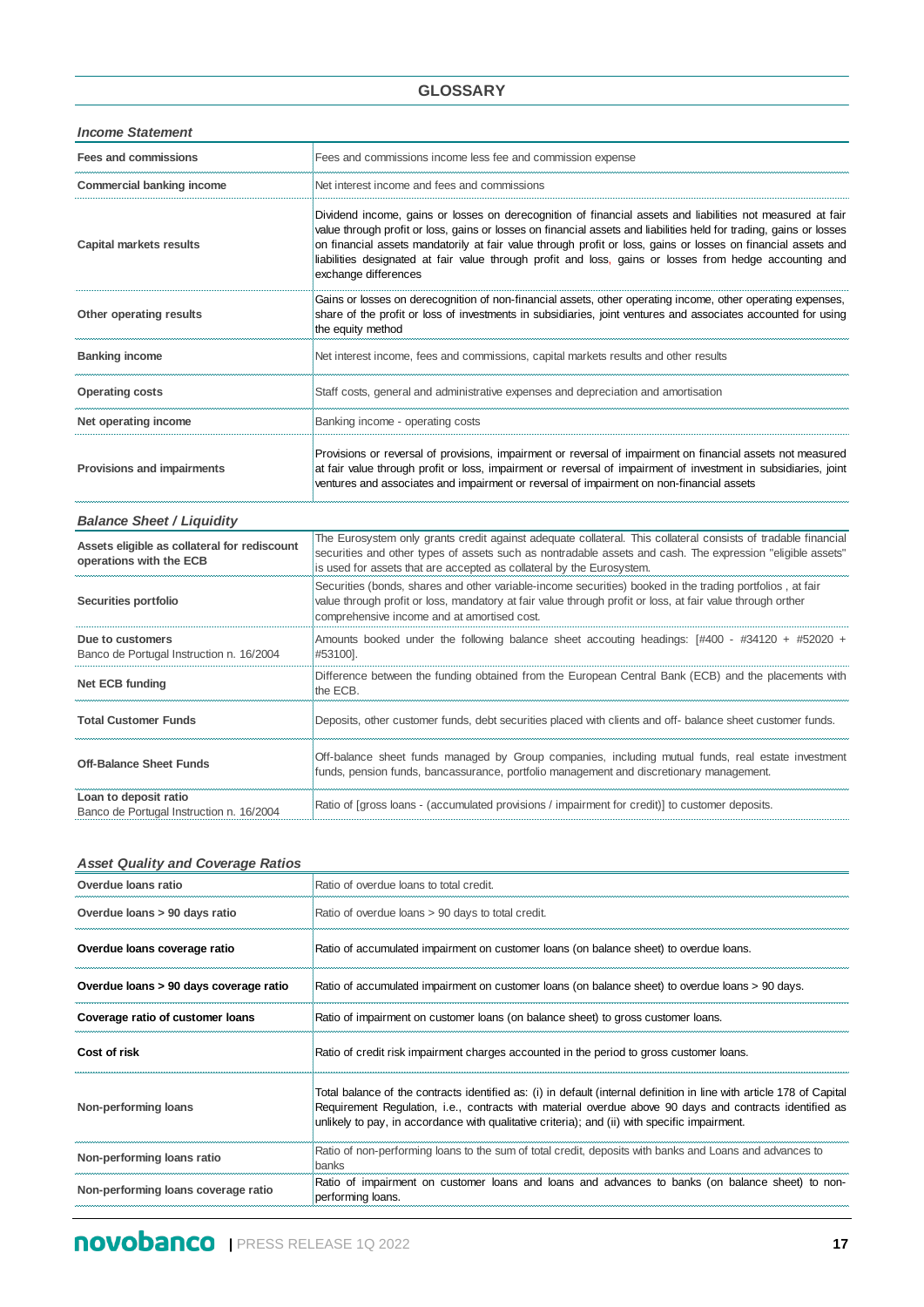#### **GLOSSARY**

*Income Statement*

| <b>Fees and commissions</b>                                             | Fees and commissions income less fee and commission expense                                                                                                                                                                                                                                                                                                                                                                                                                           |
|-------------------------------------------------------------------------|---------------------------------------------------------------------------------------------------------------------------------------------------------------------------------------------------------------------------------------------------------------------------------------------------------------------------------------------------------------------------------------------------------------------------------------------------------------------------------------|
| <b>Commercial banking income</b>                                        | Net interest income and fees and commissions                                                                                                                                                                                                                                                                                                                                                                                                                                          |
| <b>Capital markets results</b>                                          | Dividend income, gains or losses on derecognition of financial assets and liabilities not measured at fair<br>value through profit or loss, gains or losses on financial assets and liabilities held for trading, gains or losses<br>on financial assets mandatorily at fair value through profit or loss, gains or losses on financial assets and<br>liabilities designated at fair value through profit and loss, gains or losses from hedge accounting and<br>exchange differences |
| Other operating results                                                 | Gains or losses on derecognition of non-financial assets, other operating income, other operating expenses,<br>share of the profit or loss of investments in subsidiaries, joint ventures and associates accounted for using<br>the equity method                                                                                                                                                                                                                                     |
| <b>Banking income</b>                                                   | Net interest income, fees and commissions, capital markets results and other results                                                                                                                                                                                                                                                                                                                                                                                                  |
| <b>Operating costs</b>                                                  | Staff costs, general and administrative expenses and depreciation and amortisation                                                                                                                                                                                                                                                                                                                                                                                                    |
| Net operating income                                                    | Banking income - operating costs                                                                                                                                                                                                                                                                                                                                                                                                                                                      |
| Provisions and impairments                                              | Provisions or reversal of provisions, impairment or reversal of impairment on financial assets not measured<br>at fair value through profit or loss, impairment or reversal of impairment of investment in subsidiaries, joint<br>ventures and associates and impairment or reversal of impairment on non-financial assets                                                                                                                                                            |
| <b>Balance Sheet / Liquidity</b>                                        |                                                                                                                                                                                                                                                                                                                                                                                                                                                                                       |
| Assets eligible as collateral for rediscount<br>operations with the ECB | The Eurosystem only grants credit against adequate collateral. This collateral consists of tradable financial<br>securities and other types of assets such as nontradable assets and cash. The expression "eligible assets"<br>is used for assets that are accepted as collateral by the Eurosystem.                                                                                                                                                                                  |
| Securities portfolio                                                    | Securities (bonds, shares and other variable-income securities) booked in the trading portfolios, at fair<br>value through profit or loss, mandatory at fair value through profit or loss, at fair value through orther<br>comprehensive income and at amortised cost.                                                                                                                                                                                                                |
| Due to customers<br>Banco de Portugal Instruction n. 16/2004            | Amounts booked under the following balance sheet accouting headings: [#400 - #34120 + #52020 +<br>#53100].                                                                                                                                                                                                                                                                                                                                                                            |
| Net ECB funding                                                         | Difference between the funding obtained from the European Central Bank (ECB) and the placements with<br>the ECB.                                                                                                                                                                                                                                                                                                                                                                      |
| <b>Total Customer Funds</b>                                             | Deposits, other customer funds, debt securities placed with clients and off- balance sheet customer funds.                                                                                                                                                                                                                                                                                                                                                                            |
| <b>Off-Balance Sheet Funds</b>                                          | Off-balance sheet funds managed by Group companies, including mutual funds, real estate investment<br>funds, pension funds, bancassurance, portfolio management and discretionary management.                                                                                                                                                                                                                                                                                         |
| Loan to deposit ratio<br>Banco de Portugal Instruction n. 16/2004       | Ratio of [gross loans - (accumulated provisions / impairment for credit)] to customer deposits.                                                                                                                                                                                                                                                                                                                                                                                       |

#### *Asset Quality and Coverage Ratios*

| Overdue loans ratio                    | Ratio of overdue loans to total credit.                                                                                                                                                                                                                                                                                           |
|----------------------------------------|-----------------------------------------------------------------------------------------------------------------------------------------------------------------------------------------------------------------------------------------------------------------------------------------------------------------------------------|
| Overdue loans > 90 days ratio          | Ratio of overdue loans > 90 days to total credit.                                                                                                                                                                                                                                                                                 |
| Overdue loans coverage ratio           | Ratio of accumulated impairment on customer loans (on balance sheet) to overdue loans.                                                                                                                                                                                                                                            |
| Overdue loans > 90 days coverage ratio | Ratio of accumulated impairment on customer loans (on balance sheet) to overdue loans > 90 days.                                                                                                                                                                                                                                  |
| Coverage ratio of customer loans       | Ratio of impairment on customer loans (on balance sheet) to gross customer loans.                                                                                                                                                                                                                                                 |
| Cost of risk                           | Ratio of credit risk impairment charges accounted in the period to gross customer loans.                                                                                                                                                                                                                                          |
| Non-performing loans                   | Total balance of the contracts identified as: (i) in default (internal definition in line with article 178 of Capital<br>Requirement Regulation, i.e., contracts with material overdue above 90 days and contracts identified as<br>unlikely to pay, in accordance with qualitative criteria); and (ii) with specific impairment. |
| Non-performing loans ratio             | Ratio of non-performing loans to the sum of total credit, deposits with banks and Loans and advances to<br>banks                                                                                                                                                                                                                  |
| Non-performing loans coverage ratio    | Ratio of impairment on customer loans and loans and advances to banks (on balance sheet) to non-<br>performing loans.                                                                                                                                                                                                             |